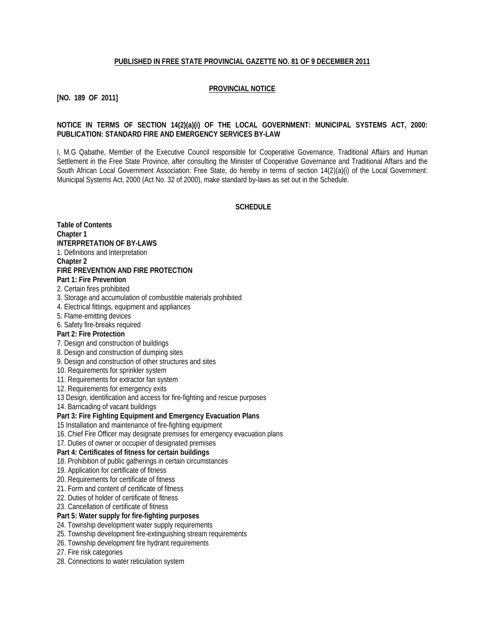#### **PUBLISHED IN FREE STATE PROVINCIAL GAZETTE NO. 81 OF 9 DECEMBER 2011**

### **PROVINCIAL NOTICE**

# **[NO. 189 OF 2011]**

#### **NOTICE IN TERMS OF SECTION 14(2)(a)(i) OF THE LOCAL GOVERNMENT: MUNICIPAL SYSTEMS ACT, 2000: PUBLICATION: STANDARD FIRE AND EMERGENCY SERVICES BY-LAW**

I, M.G Qabathe, Member of the Executive Council responsible for Cooperative Governance, Traditional Affairs and Human Settlement in the Free State Province, after consulting the Minister of Cooperative Governance and Traditional Affairs and the South African Local Government Association: Free State, do hereby in terms of section 14(2)(a)(i) of the Local Government: Municipal Systems Act, 2000 (Act No. 32 of 2000), make standard by-laws as set out in the Schedule.

# **SCHEDULE**

**Table of Contents Chapter 1 INTERPRETATION OF BY-LAWS** 1. Definitions and Interpretation **Chapter 2 FIRE PREVENTION AND FIRE PROTECTION Part 1: Fire Prevention** 2. Certain fires prohibited 3. Storage and accumulation of combustible materials prohibited 4. Electrical fittings, equipment and appliances 5. Flame-emitting devices 6. Safety fire-breaks required **Part 2: Fire Protection** 7. Design and construction of buildings 8. Design and construction of dumping sites 9. Design and construction of other structures and sites 10. Requirements for sprinkler system 11. Requirements for extractor fan system 12. Requirements for emergency exits 13 Design, identification and access for fire-fighting and rescue purposes 14. Barricading of vacant buildings **Part 3: Fire Fighting Equipment and Emergency Evacuation Plans** 15 Installation and maintenance of fire-fighting equipment 16. Chief Fire Officer may designate premises for emergency evacuation plans 17. Duties of owner or occupier of designated premises **Part 4: Certificates of fitness for certain buildings** 18. Prohibition of public gatherings in certain circumstances 19. Application for certificate of fitness 20. Requirements for certificate of fitness 21. Form and content of certificate of fitness 22. Duties of holder of certificate of fitness 23. Cancellation of certificate of fitness **Part 5: Water supply for fire-fighting purposes** 24. Township development water supply requirements 25. Township development fire-extinguishing stream requirements 26. Township development fire hydrant requirements 27. Fire risk categories 28. Connections to water reticulation system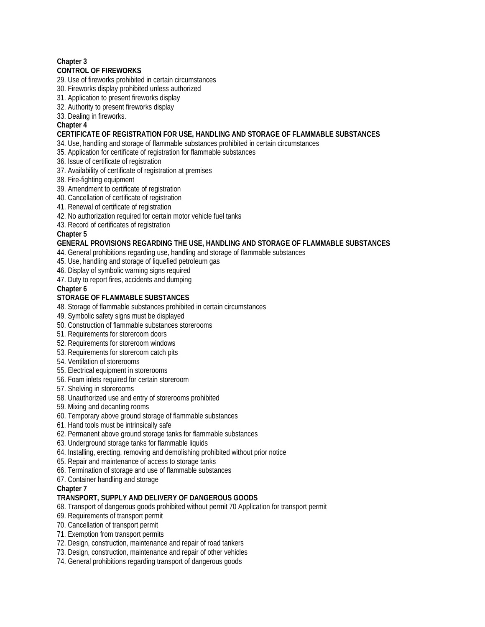# **Chapter 3**

# **CONTROL OF FIREWORKS**

- 29. Use of fireworks prohibited in certain circumstances
- 30. Fireworks display prohibited unless authorized
- 31. Application to present fireworks display
- 32. Authority to present fireworks display
- 33. Dealing in fireworks.

# **Chapter 4**

### **CERTIFICATE OF REGISTRATION FOR USE, HANDLING AND STORAGE OF FLAMMABLE SUBSTANCES**

- 34. Use, handling and storage of flammable substances prohibited in certain circumstances
- 35. Application for certificate of registration for flammable substances
- 36. Issue of certificate of registration
- 37. Availability of certificate of registration at premises
- 38. Fire-fighting equipment

# 39. Amendment to certificate of registration

- 40. Cancellation of certificate of registration
- 41. Renewal of certificate of registration
- 42. No authorization required for certain motor vehicle fuel tanks
- 43. Record of certificates of registration

# **Chapter 5**

# **GENERAL PROVISIONS REGARDING THE USE, HANDLING AND STORAGE OF FLAMMABLE SUBSTANCES**

- 44. General prohibitions regarding use, handling and storage of flammable substances
- 45. Use, handling and storage of liquefied petroleum gas
- 46. Display of symbolic warning signs required
- 47. Duty to report fires, accidents and dumping

# **Chapter 6**

# **STORAGE OF FLAMMABLE SUBSTANCES**

- 48. Storage of flammable substances prohibited in certain circumstances
- 49. Symbolic safety signs must be displayed
- 50. Construction of flammable substances storerooms
- 51. Requirements for storeroom doors
- 52. Requirements for storeroom windows
- 53. Requirements for storeroom catch pits
- 54. Ventilation of storerooms
- 55. Electrical equipment in storerooms
- 56. Foam inlets required for certain storeroom
- 57. Shelving in storerooms
- 58. Unauthorized use and entry of storerooms prohibited
- 59. Mixing and decanting rooms
- 60. Temporary above ground storage of flammable substances
- 61. Hand tools must be intrinsically safe
- 62. Permanent above ground storage tanks for flammable substances
- 63. Underground storage tanks for flammable liquids
- 64. Installing, erecting, removing and demolishing prohibited without prior notice
- 65. Repair and maintenance of access to storage tanks
- 66. Termination of storage and use of flammable substances
- 67. Container handling and storage

#### **Chapter 7**

# **TRANSPORT, SUPPLY AND DELIVERY OF DANGEROUS GOODS**

- 68. Transport of dangerous goods prohibited without permit 70 Application for transport permit
- 69. Requirements of transport permit
- 70. Cancellation of transport permit
- 71. Exemption from transport permits
- 72. Design, construction, maintenance and repair of road tankers
- 73. Design, construction, maintenance and repair of other vehicles
- 74. General prohibitions regarding transport of dangerous goods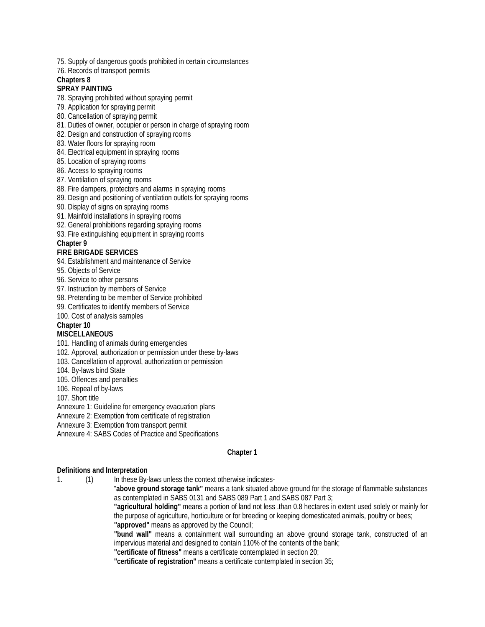- 75. Supply of dangerous goods prohibited in certain circumstances
- 76. Records of transport permits

#### **Chapters 8**

#### **SPRAY PAINTING**

- 78. Spraying prohibited without spraying permit
- 79. Application for spraying permit
- 80. Cancellation of spraying permit
- 81. Duties of owner, occupier or person in charge of spraying room
- 82. Design and construction of spraying rooms
- 83. Water floors for spraying room
- 84. Electrical equipment in spraying rooms
- 85. Location of spraying rooms
- 86. Access to spraying rooms
- 87. Ventilation of spraying rooms
- 88. Fire dampers, protectors and alarms in spraying rooms
- 89. Design and positioning of ventilation outlets for spraying rooms
- 90. Display of signs on spraying rooms
- 91. Mainfold installations in spraying rooms
- 92. General prohibitions regarding spraying rooms
- 93. Fire extinguishing equipment in spraying rooms

#### **Chapter 9**

#### **FIRE BRIGADE SERVICES**

- 94. Establishment and maintenance of Service
- 95. Objects of Service
- 96. Service to other persons
- 97. Instruction by members of Service
- 98. Pretending to be member of Service prohibited
- 99. Certificates to identify members of Service
- 100. Cost of analysis samples

#### **Chapter 10**

#### **MISCELLANEOUS**

- 101. Handling of animals during emergencies
- 102. Approval, authorization or permission under these by-laws
- 103. Cancellation of approval, authorization or permission
- 104. By-laws bind State
- 105. Offences and penalties
- 106. Repeal of by-laws
- 107. Short title
- Annexure 1: Guideline for emergency evacuation plans
- Annexure 2: Exemption from certificate of registration
- Annexure 3: Exemption from transport permit
- Annexure 4: SABS Codes of Practice and Specifications

#### **Chapter 1**

#### **Definitions and Interpretation**

- 1. (1) In these By-laws unless the context otherwise indicates-
	- "**above ground storage tank"** means a tank situated above ground for the storage of flammable substances as contemplated in SABS 0131 and SABS 089 Part 1 and SABS 087 Part 3;
	- **"agricultural holding"** means a portion of land not less .than 0.8 hectares in extent used solely or mainly for the purpose of agriculture, horticulture or for breeding or keeping domesticated animals, poultry or bees; **"approved"** means as approved by the Council;
	- **"bund wall"** means a containment wall surrounding an above ground storage tank, constructed of an impervious material and designed to contain 110% of the contents of the bank;
	- **"certificate of fitness"** means a certificate contemplated in section 20;
	- **"certificate of registration"** means a certificate contemplated in section 35;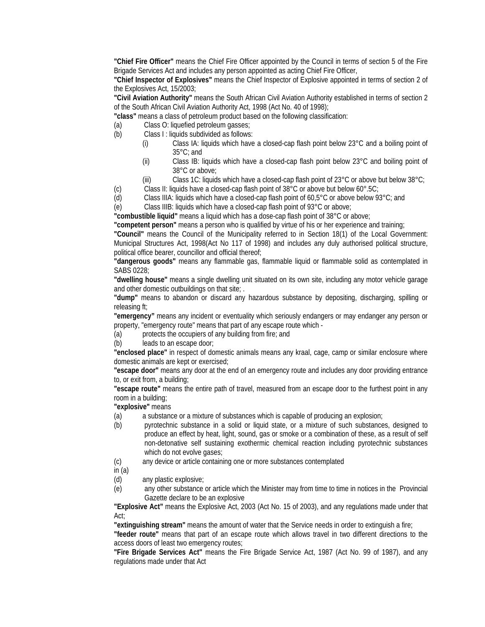**"Chief Fire Officer"** means the Chief Fire Officer appointed by the Council in terms of section 5 of the Fire Brigade Services Act and includes any person appointed as acting Chief Fire Officer,

**"Chief Inspector of Explosives"** means the Chief Inspector of Explosive appointed in terms of section 2 of the Explosives Act, 15/2003;

**"Civil Aviation Authority"** means the South African Civil Aviation Authority established in terms of section 2 of the South African Civil Aviation Authority Act, 1998 (Act No. 40 of 1998);

**"class"** means a class of petroleum product based on the following classification:

- (a) Class O: liquefied petroleum gasses;
- (b) Class I : liquids subdivided as follows:
	- (i) Class IA: liquids which have a closed-cap flash point below 23°C and a boiling point of 35°C; and
	- (ii) Class IB: liquids which have a closed-cap flash point below 23°C and boiling point of 38°C or above;
	- (iii) Class 1C: liquids which have a closed-cap flash point of  $23^{\circ}$ C or above but below  $38^{\circ}$ C;

(c) Class II: liquids have a closed-cap flash point of 38°C or above but below 60°.5C;

(d) Class IIIA: liquids which have a closed-cap flash point of 60,5°C or above below 93°C; and

(e) Class IIIB: liquids which have a closed-cap flash point of 93°C or above;

**"combustible liquid"** means a liquid which has a dose-cap flash point of 38°C or above;

**"competent person"** means a person who is qualified by virtue of his or her experience and training;

**"Council"** means the Council of the Municipality referred to in Section 18(1) of the Local Government: Municipal Structures Act, 1998(Act No 117 of 1998) and includes any duly authorised political structure, political office bearer, councillor and official thereof;

**"dangerous goods"** means any flammable gas, flammable liquid or flammable solid as contemplated in SABS 0228;

**"dwelling house"** means a single dwelling unit situated on its own site, including any motor vehicle garage and other domestic outbuildings on that site; .

**"dump"** means to abandon or discard any hazardous substance by depositing, discharging, spilling or releasing ft;

**"emergency"** means any incident or eventuality which seriously endangers or may endanger any person or property, "emergency route" means that part of any escape route which -

(a) protects the occupiers of any building from fire; and

(b) leads to an escape door;

**"enclosed place"** in respect of domestic animals means any kraal, cage, camp or similar enclosure where domestic animals are kept or exercised;

**"escape door"** means any door at the end of an emergency route and includes any door providing entrance to, or exit from, a building;

**"escape route"** means the entire path of travel, measured from an escape door to the furthest point in any room in a building;

**"explosive"** means

(a) a substance or a mixture of substances which is capable of producing an explosion;

- (b) pyrotechnic substance in a solid or liquid state, or a mixture of such substances, designed to produce an effect by heat, light, sound, gas or smoke or a combination of these, as a result of self non-detonative self sustaining exothermic chemical reaction including pyrotechnic substances which do not evolve gases;
- (c) any device or article containing one or more substances contemplated

in (a)

- (d) any plastic explosive;
- (e) any other substance or article which the Minister may from time to time in notices in the Provincial Gazette declare to be an explosive

**"Explosive Act"** means the Explosive Act, 2003 (Act No. 15 of 2003), and any regulations made under that Act;

**"extinguishing stream"** means the amount of water that the Service needs in order to extinguish a fire;

**"feeder route"** means that part of an escape route which allows travel in two different directions to the access doors of least two emergency routes;

**"Fire Brigade Services Act"** means the Fire Brigade Service Act, 1987 (Act No. 99 of 1987), and any regulations made under that Act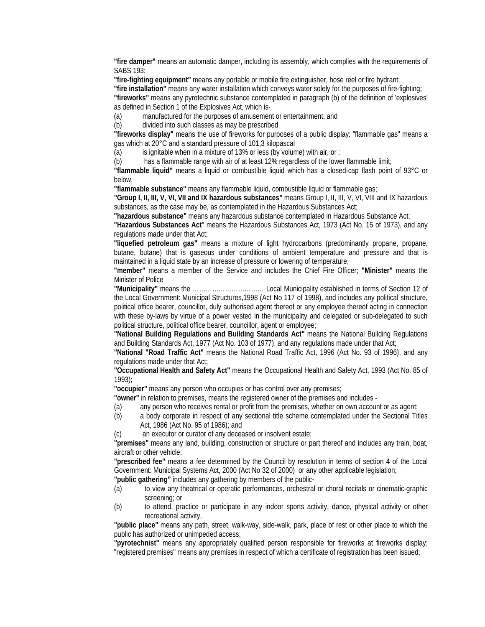**"fire damper"** means an automatic damper, including its assembly, which complies with the requirements of SABS 193;

**"fire-fighting equipment"** means any portable or mobile fire extinguisher, hose reel or fire hydrant;

**"fire installation"** means any water installation which conveys water solely for the purposes of fire-fighting; **"fireworks"** means any pyrotechnic substance contemplated in paragraph (b) of the definition of 'explosives' as defined in Section 1 of the Explosives Act, which is-

(a) manufactured for the purposes of amusement or entertainment, and

(b) divided into such classes as may be prescribed

**"fireworks display"** means the use of fireworks for purposes of a public display; "flammable gas" means a gas which at 20°C and a standard pressure of 101,3 kilopascal

(a) is ignitable when in a mixture of 13% or less (by volume) with air, or :

(b) has a flammable range with air of at least 12% regardless of the lower flammable limit;

**"flammable liquid"** means a liquid or combustible liquid which has a closed-cap flash point of 93°C or below,

**"flammable substance"** means any flammable liquid, combustible liquid or flammable gas;

**"Group I, II, III, V, VI, VII and IX hazardous substances"** means Group I, II, III, V, VI, VIII and IX hazardous substances, as the case may be, as contemplated in the Hazardous Substances Act;

**"hazardous substance"** means any hazardous substance contemplated in Hazardous Substance Act;

**"Hazardous Substances Act**" means the Hazardous Substances Act, 1973 (Act No. 15 of 1973), and any regulations made under that Act;

**"liquefied petroleum gas"** means a mixture of light hydrocarbons (predominantly propane, propane, butane, butane) that is gaseous under conditions of ambient temperature and pressure and that is maintained in a liquid state by an increase of pressure or lowering of temperature;

**"member"** means a member of the Service and includes the Chief Fire Officer; **"Minister"** means the Minister of Police

**"Municipality"** means the …………………………… Local Municipality established in terms of Section 12 of the Local Government: Municipal Structures,1998 (Act No 117 of 1998), and includes any political structure, political office bearer, councillor, duly authorised agent thereof or any employee thereof acting in connection with these by-laws by virtue of a power vested in the municipality and delegated or sub-delegated to such political structure, political office bearer, councillor, agent or employee;

**"National Building Regulations and Building Standards Act"** means the National Building Regulations and Building Standards Act, 1977 (Act No. 103 of 1977), and any regulations made under that Act;

**"National "Road Traffic Act"** means the National Road Traffic Act, 1996 (Act No. 93 of 1996), and any regulations made under that Act;

**"Occupational Health and Safety Act"** means the Occupational Health and Safety Act, 1993 (Act No. 85 of 1993);

**"occupier"** means any person who occupies or has control over any premises;

**"owner"** in relation to premises, means the registered owner of the premises and includes -

- (a) any person who receives rental or profit from the premises, whether on own account or as agent;
- (b) a body corporate in respect of any sectional title scheme contemplated under the Sectional Titles Act, 1986 (Act No. 95 of 1986); and

(c) an executor or curator of any deceased or insolvent estate;

**"premises"** means any land, building, construction or structure or part thereof and includes any train, boat, aircraft or other vehicle;

**"prescribed fee"** means a fee determined by the Council by resolution in terms of section 4 of the Local Government: Municipal Systems Act, 2000 (Act No 32 of 2000) or any other applicable legislation;

**"public gathering"** includes any gathering by members of the public-

- (a) to view any theatrical or operatic performances, orchestral or choral recitals or cinematic-graphic screening; or
- (b) to attend, practice or participate in any indoor sports activity, dance, physical activity or other recreational activity,

**"public place"** means any path, street, walk-way, side-walk, park, place of rest or other place to which the public has authorized or unimpeded access;

**"pyrotechnist"** means any appropriately qualified person responsible for fireworks at fireworks display; "registered premises" means any premises in respect of which a certificate of registration has been issued;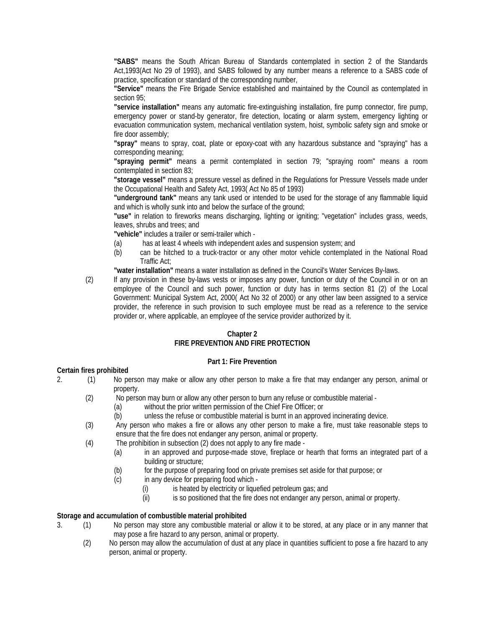**"SABS"** means the South African Bureau of Standards contemplated in section 2 of the Standards Act,1993(Act No 29 of 1993), and SABS followed by any number means a reference to a SABS code of practice, specification or standard of the corresponding number,

**"Service"** means the Fire Brigade Service established and maintained by the Council as contemplated in section 95;

**"service installation"** means any automatic fire-extinguishing installation, fire pump connector, fire pump, emergency power or stand-by generator, fire detection, locating or alarm system, emergency lighting or evacuation communication system, mechanical ventilation system, hoist, symbolic safety sign and smoke or fire door assembly;

**"spray"** means to spray, coat, plate or epoxy-coat with any hazardous substance and "spraying" has a corresponding meaning;

**"spraying permit"** means a permit contemplated in section 79; "spraying room" means a room contemplated in section 83;

**"storage vessel"** means a pressure vessel as defined in the Regulations for Pressure Vessels made under the Occupational Health and Safety Act, 1993( Act No 85 of 1993)

**"underground tank"** means any tank used or intended to be used for the storage of any flammable liquid and which is wholly sunk into and below the surface of the ground;

**"use"** in relation to fireworks means discharging, lighting or igniting; "vegetation" includes grass, weeds, leaves, shrubs and trees; and

**"vehicle"** includes a trailer or semi-trailer which -

- (a) has at least 4 wheels with independent axles and suspension system; and
- (b) can be hitched to a truck-tractor or any other motor vehicle contemplated in the National Road Traffic Act;

**"water installation"** means a water installation as defined in the Council's Water Services By-laws.

(2) If any provision in these by-laws vests or imposes any power, function or duty of the Council in or on an employee of the Council and such power, function or duty has in terms section 81 (2) of the Local Government: Municipal System Act, 2000( Act No 32 of 2000) or any other law been assigned to a service provider, the reference in such provision to such employee must be read as a reference to the service provider or, where applicable, an employee of the service provider authorized by it.

#### **Chapter 2**

#### **FIRE PREVENTION AND FIRE PROTECTION**

#### **Part 1: Fire Prevention**

#### **Certain fires prohibited**

- 2. (1) No person may make or allow any other person to make a fire that may endanger any person, animal or property.
	- (2) No person may burn or allow any other person to burn any refuse or combustible material
		- (a) without the prior written permission of the Chief Fire Officer; or
		- (b) unless the refuse or combustible material is burnt in an approved incinerating device.
	- (3) Any person who makes a fire or allows any other person to make a fire, must take reasonable steps to ensure that the fire does not endanger any person, animal or property.
	- (4) The prohibition in subsection (2) does not apply to any fire made
		- (a) in an approved and purpose-made stove, fireplace or hearth that forms an integrated part of a building or structure;
			- (b) for the purpose of preparing food on private premises set aside for that purpose; or
			- (c) in any device for preparing food which
				- (i) is heated by electricity or liquefied petroleum gas; and
				- (ii) is so positioned that the fire does not endanger any person, animal or property.

#### **Storage and accumulation of combustible material prohibited**

- 3. (1) No person may store any combustible material or allow it to be stored, at any place or in any manner that may pose a fire hazard to any person, animal or property.
	- (2) No person may allow the accumulation of dust at any place in quantities sufficient to pose a fire hazard to any person, animal or property.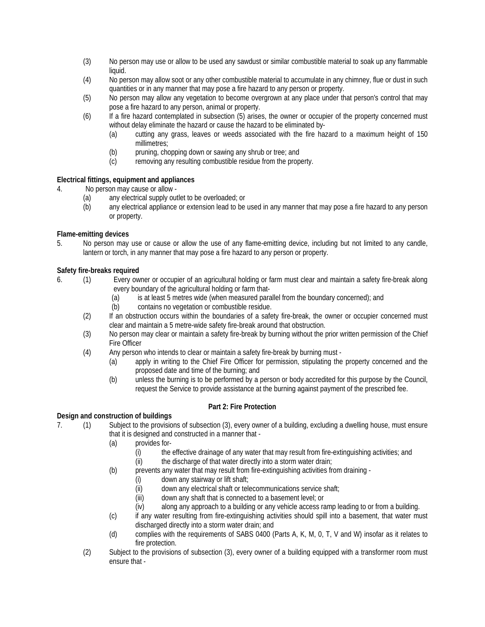- (3) No person may use or allow to be used any sawdust or similar combustible material to soak up any flammable liquid.
- (4) No person may allow soot or any other combustible material to accumulate in any chimney, flue or dust in such quantities or in any manner that may pose a fire hazard to any person or property.
- (5) No person may allow any vegetation to become overgrown at any place under that person's control that may pose a fire hazard to any person, animal or property.
- (6) If a fire hazard contemplated in subsection (5) arises, the owner or occupier of the property concerned must without delay eliminate the hazard or cause the hazard to be eliminated by-
	- (a) cutting any grass, leaves or weeds associated with the fire hazard to a maximum height of 150 millimetres;
	- (b) pruning, chopping down or sawing any shrub or tree; and
	- (c) removing any resulting combustible residue from the property.

# **Electrical fittings, equipment and appliances**

- 4. No person may cause or allow
	- (a) any electrical supply outlet to be overloaded; or
	- (b) any electrical appliance or extension lead to be used in any manner that may pose a fire hazard to any person or property.

# **Flame-emitting devices**

5. No person may use or cause or allow the use of any flame-emitting device, including but not limited to any candle, lantern or torch, in any manner that may pose a fire hazard to any person or property.

# **Safety fire-breaks required**

- 6. (1) Every owner or occupier of an agricultural holding or farm must clear and maintain a safety fire-break along every boundary of the agricultural holding or farm that-
	- (a) is at least 5 metres wide (when measured parallel from the boundary concerned); and
	- (b) contains no vegetation or combustible residue.
	- (2) If an obstruction occurs within the boundaries of a safety fire-break, the owner or occupier concerned must clear and maintain a 5 metre-wide safety fire-break around that obstruction.
	- (3) No person may clear or maintain a safety fire-break by burning without the prior written permission of the Chief Fire Officer
	- (4) Any person who intends to clear or maintain a safety fire-break by burning must
		- (a) apply in writing to the Chief Fire Officer for permission, stipulating the property concerned and the proposed date and time of the burning; and
		- (b) unless the burning is to be performed by a person or body accredited for this purpose by the Council, request the Service to provide assistance at the burning against payment of the prescribed fee.

# **Part 2: Fire Protection**

# **Design and construction of buildings**

- 7. (1) Subject to the provisions of subsection (3), every owner of a building, excluding a dwelling house, must ensure that it is designed and constructed in a manner that -
	- (a) provides for-
		- (i) the effective drainage of any water that may result from fire-extinguishing activities; and
		- (ii) the discharge of that water directly into a storm water drain;
	- (b) prevents any water that may result from fire-extinguishing activities from draining
		- $(i)$  down any stairway or lift shaft;<br>(ii) down any electrical shaft or tele
		- down any electrical shaft or telecommunications service shaft;
		-
		- (iii) down any shaft that is connected to a basement level; or<br>(iv) along any approach to a building or any vehicle access ra along any approach to a building or any vehicle access ramp leading to or from a building.
	- (c) if any water resulting from fire-extinguishing activities should spill into a basement, that water must discharged directly into a storm water drain; and
	- (d) complies with the requirements of SABS 0400 (Parts A, K, M, 0, T, V and W) insofar as it relates to fire protection.
	- (2) Subject to the provisions of subsection (3), every owner of a building equipped with a transformer room must ensure that -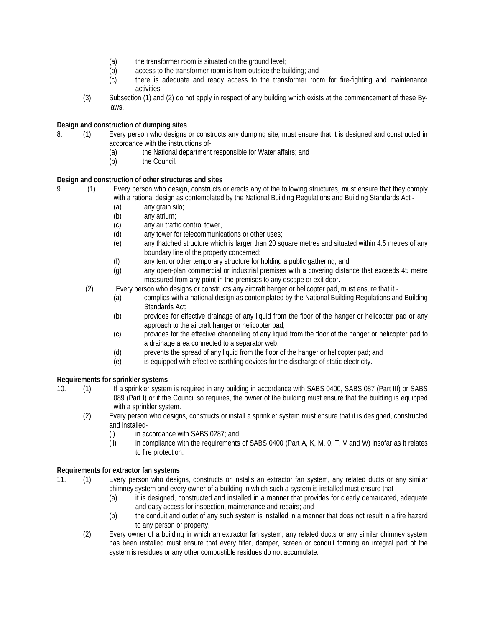- (a) the transformer room is situated on the ground level;
- (b) access to the transformer room is from outside the building; and
- (c) there is adequate and ready access to the transformer room for fire-fighting and maintenance activities.
- (3) Subsection (1) and (2) do not apply in respect of any building which exists at the commencement of these Bylaws.

# **Design and construction of dumping sites**

- 8. (1) Every person who designs or constructs any dumping site, must ensure that it is designed and constructed in accordance with the instructions of-
	- (a) the National department responsible for Water affairs; and
	- (b) the Council.

# **Design and construction of other structures and sites**

- 9. (1) Every person who design, constructs or erects any of the following structures, must ensure that they comply with a rational design as contemplated by the National Building Regulations and Building Standards Act -
	- (a) any grain silo;
	- (b) any atrium;
	- (c) any air traffic control tower,
	- (d) any tower for telecommunications or other uses;
	- (e) any thatched structure which is larger than 20 square metres and situated within 4.5 metres of any boundary line of the property concerned;
	- (f) any tent or other temporary structure for holding a public gathering; and
	- (g) any open-plan commercial or industrial premises with a covering distance that exceeds 45 metre measured from any point in the premises to any escape or exit door.
	- (2) Every person who designs or constructs any aircraft hanger or helicopter pad, must ensure that it
		- (a) complies with a national design as contemplated by the National Building Regulations and Building Standards Act;
		- (b) provides for effective drainage of any liquid from the floor of the hanger or helicopter pad or any approach to the aircraft hanger or helicopter pad;
		- (c) provides for the effective channelling of any liquid from the floor of the hanger or helicopter pad to a drainage area connected to a separator web;
		- (d) prevents the spread of any liquid from the floor of the hanger or helicopter pad; and
		- (e) is equipped with effective earthling devices for the discharge of static electricity.

#### **Requirements for sprinkler systems**

- 10. (1) If a sprinkler system is required in any building in accordance with SABS 0400, SABS 087 (Part III) or SABS 089 (Part I) or if the Council so requires, the owner of the building must ensure that the building is equipped with a sprinkler system.
	- (2) Every person who designs, constructs or install a sprinkler system must ensure that it is designed, constructed and installed-
		- (i) in accordance with SABS 0287; and
		- (ii) in compliance with the requirements of SABS 0400 (Part A, K, M, 0, T, V and W) insofar as it relates to fire protection.

# **Requirements for extractor fan systems**

- 11. (1) Every person who designs, constructs or installs an extractor fan system, any related ducts or any similar chimney system and every owner of a building in which such a system is installed must ensure that -
	- (a) it is designed, constructed and installed in a manner that provides for clearly demarcated, adequate and easy access for inspection, maintenance and repairs; and
	- (b) the conduit and outlet of any such system is installed in a manner that does not result in a fire hazard to any person or property.
	- (2) Every owner of a building in which an extractor fan system, any related ducts or any similar chimney system has been installed must ensure that every filter, damper, screen or conduit forming an integral part of the system is residues or any other combustible residues do not accumulate.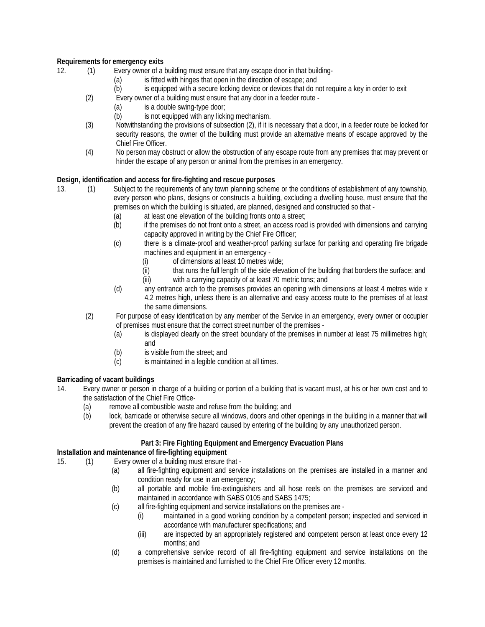# **Requirements for emergency exits**

- 12. (1) Every owner of a building must ensure that any escape door in that building-
	- (a) is fitted with hinges that open in the direction of escape; and
	- (b) is equipped with a secure locking device or devices that do not require a key in order to exit
	- (2) Every owner of a building must ensure that any door in a feeder route
		- (a) is a double swing-type door;
		- (b) is not equipped with any licking mechanism.
	- (3) Notwithstanding the provisions of subsection (2), if it is necessary that a door, in a feeder route be locked for security reasons, the owner of the building must provide an alternative means of escape approved by the Chief Fire Officer.
	- (4) No person may obstruct or allow the obstruction of any escape route from any premises that may prevent or hinder the escape of any person or animal from the premises in an emergency.

# **Design, identification and access for fire-fighting and rescue purposes**

- 13. (1) Subject to the requirements of any town planning scheme or the conditions of establishment of any township, every person who plans, designs or constructs a building, excluding a dwelling house, must ensure that the premises on which the building is situated, are planned, designed and constructed so that -
	- (a) at least one elevation of the building fronts onto a street;
	- (b) if the premises do not front onto a street, an access road is provided with dimensions and carrying capacity approved in writing by the Chief Fire Officer;
	- (c) there is a climate-proof and weather-proof parking surface for parking and operating fire brigade machines and equipment in an emergency -
		- (i) of dimensions at least 10 metres wide;
		- (ii) that runs the full length of the side elevation of the building that borders the surface; and (iii) with a carrying capacity of at least 70 metric tons; and
			- with a carrying capacity of at least 70 metric tons; and
	- (d) any entrance arch to the premises provides an opening with dimensions at least 4 metres wide x 4.2 metres high, unless there is an alternative and easy access route to the premises of at least the same dimensions.
	- (2) For purpose of easy identification by any member of the Service in an emergency, every owner or occupier of premises must ensure that the correct street number of the premises -
		- (a) is displayed clearly on the street boundary of the premises in number at least 75 millimetres high; and
		- (b) is visible from the street; and
		- (c) is maintained in a legible condition at all times.

# **Barricading of vacant buildings**

- 14. Every owner or person in charge of a building or portion of a building that is vacant must, at his or her own cost and to the satisfaction of the Chief Fire Office-
	- (a) remove all combustible waste and refuse from the building; and
	- (b) lock, barricade or otherwise secure all windows, doors and other openings in the building in a manner that will prevent the creation of any fire hazard caused by entering of the building by any unauthorized person.

#### **Part 3: Fire Fighting Equipment and Emergency Evacuation Plans**

#### **Installation and maintenance of fire-fighting equipment**

- 15. (1) Every owner of a building must ensure that
	- (a) all fire-fighting equipment and service installations on the premises are installed in a manner and condition ready for use in an emergency;
	- (b) all portable and mobile fire-extinguishers and all hose reels on the premises are serviced and maintained in accordance with SABS 0105 and SABS 1475;
	- (c) all fire-fighting equipment and service installations on the premises are
		- (i) maintained in a good working condition by a competent person; inspected and serviced in accordance with manufacturer specifications; and
		- (iii) are inspected by an appropriately registered and competent person at least once every 12 months; and
	- (d) a comprehensive service record of all fire-fighting equipment and service installations on the premises is maintained and furnished to the Chief Fire Officer every 12 months.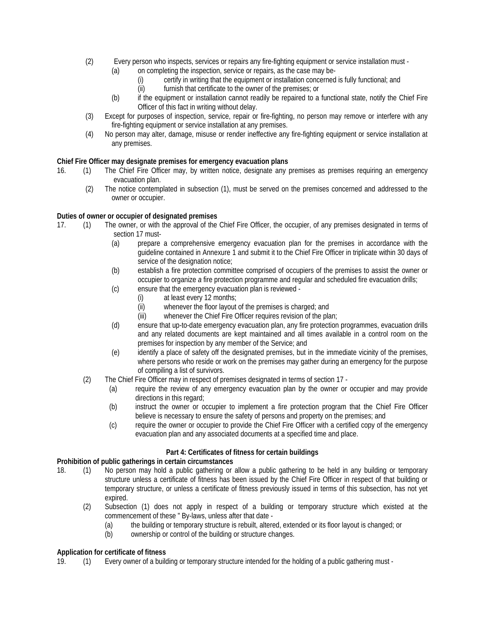- (2) Every person who inspects, services or repairs any fire-fighting equipment or service installation must
	- (a) on completing the inspection, service or repairs, as the case may be-
		- (i) certify in writing that the equipment or installation concerned is fully functional; and
		- (ii) furnish that certificate to the owner of the premises; or
	- (b) if the equipment or installation cannot readily be repaired to a functional state, notify the Chief Fire Officer of this fact in writing without delay.
- (3) Except for purposes of inspection, service, repair or fire-fighting, no person may remove or interfere with any fire-fighting equipment or service installation at any premises.
- (4) No person may alter, damage, misuse or render ineffective any fire-fighting equipment or service installation at any premises.

# **Chief Fire Officer may designate premises for emergency evacuation plans**

- 16. (1) The Chief Fire Officer may, by written notice, designate any premises as premises requiring an emergency evacuation plan.
	- (2) The notice contemplated in subsection (1), must be served on the premises concerned and addressed to the owner or occupier.

# **Duties of owner or occupier of designated premises**

- 17. (1) The owner, or with the approval of the Chief Fire Officer, the occupier, of any premises designated in terms of section 17 must-
	- (a) prepare a comprehensive emergency evacuation plan for the premises in accordance with the guideline contained in Annexure 1 and submit it to the Chief Fire Officer in triplicate within 30 days of service of the designation notice;
	- (b) establish a fire protection committee comprised of occupiers of the premises to assist the owner or occupier to organize *a* fire protection programme and regular and scheduled fire evacuation drills;
	- (c) ensure that the emergency evacuation plan is reviewed
		- (i) at least every 12 months;
		- (ii) whenever the floor layout of the premises is charged; and
		- (iii) whenever the Chief Fire Officer requires revision of the plan;
	- (d) ensure that up-to-date emergency evacuation plan, any fire protection programmes, evacuation drills and any related documents are kept maintained and all times available in a control room on the premises for inspection by any member of the Service; and
	- (e) identify a place of safety off the designated premises, but in the immediate vicinity of the premises, where persons who reside or work on the premises may gather during an emergency for the purpose of compiling a list of survivors.
	- (2) The Chief Fire Officer may in respect of premises designated in terms of section 17
		- (a) require the review of any emergency evacuation plan by the owner or occupier and may provide directions in this regard;
		- (b) instruct the owner or occupier to implement a fire protection program that the Chief Fire Officer believe is necessary to ensure the safety of persons and property on the premises; and
		- (c) require the owner or occupier to provide the Chief Fire Officer with a certified copy of the emergency evacuation plan and any associated documents at a specified time and place.

#### **Part 4: Certificates of fitness for certain buildings**

#### **Prohibition of public gatherings in certain circumstances**

- 18. (1) No person may hold a public gathering or allow a public gathering to be held in any building or temporary structure unless a certificate of fitness has been issued by the Chief Fire Officer in respect of that building or temporary structure, or unless a certificate of fitness previously issued in terms of this subsection, has not yet expired.
	- (2) Subsection (1) does not apply in respect of a building or temporary structure which existed at the commencement of these " By-laws, unless after that date -
		- (a) the building or temporary structure is rebuilt, altered, extended or its floor layout is changed; or
		- (b) ownership or control of the building or structure changes.

#### **Application for certificate of fitness**

19. (1) Every owner of a building or temporary structure intended for the holding of a public gathering must -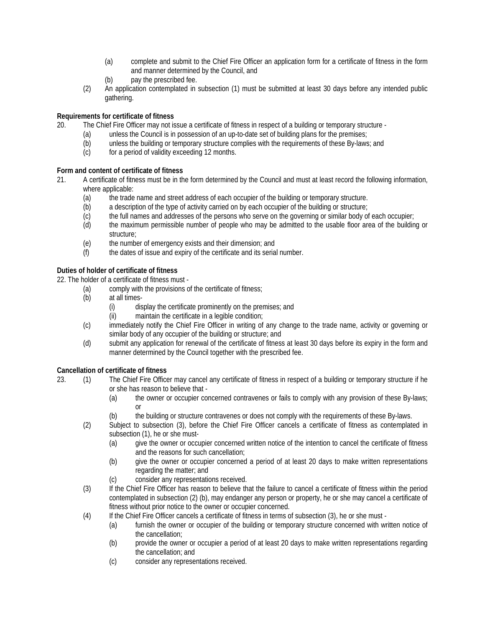- (a) complete and submit to the Chief Fire Officer an application form for a certificate of fitness in the form and manner determined by the Council, and
- (b) pay the prescribed fee.
- (2) An application contemplated in subsection (1) must be submitted at least 30 days before any intended public gathering.

# **Requirements for certificate of fitness**

- 20. The Chief Fire Officer may not issue a certificate of fitness in respect of a building or temporary structure
	- (a) unless the Council is in possession of an up-to-date set of building plans for the premises;
	- (b) unless the building or temporary structure complies with the requirements of these By-laws; and
	- (c) for a period of validity exceeding 12 months.

# **Form and content of certificate of fitness**

- 21. A certificate of fitness must be in the form determined by the Council and must at least record the following information, where applicable:
	- (a) the trade name and street address of each occupier of the building or temporary structure.
	- (b) a description of the type of activity carried on by each occupier of the building or structure;
	- (c) the full names and addresses of the persons who serve on the governing or similar body of each occupier;
	- (d) the maximum permissible number of people who may be admitted to the usable floor area of the building or structure;
	- (e) the number of emergency exists and their dimension; and
	- (f) the dates of issue and expiry of the certificate and its serial number.

# **Duties of holder of certificate of fitness**

22. The holder of a certificate of fitness must -

- (a) comply with the provisions of the certificate of fitness;
- (b) at all times-
	- (i) display the certificate prominently on the premises; and
	- (ii) maintain the certificate in a legible condition;
- (c) immediately notify the Chief Fire Officer in writing of any change to the trade name, activity or governing or similar body of any occupier of the building or structure; and
- (d) submit any application for renewal of the certificate of fitness at least 30 days before its expiry in the form and manner determined by the Council together with the prescribed fee.

# **Cancellation of certificate of fitness**

- 23. (1) The Chief Fire Officer may cancel any certificate of fitness in respect of a building or temporary structure if he or she has reason to believe that -
	- (a) the owner or occupier concerned contravenes or fails to comply with any provision of these By-laws; or
	- (b) the building or structure contravenes or does not comply with the requirements of these By-laws.
	- (2) Subject to subsection (3), before the Chief Fire Officer cancels a certificate of fitness as contemplated in subsection (1), he or she must-
		- (a) give the owner or occupier concerned written notice of the intention to cancel the certificate of fitness and the reasons for such cancellation;
		- (b) give the owner or occupier concerned a period of at least 20 days to make written representations regarding the matter; and
		- (c) consider any representations received.
	- (3) If the Chief Fire Officer has reason to believe that the failure to cancel a certificate of fitness within the period contemplated in subsection (2) (b), may endanger any person or property, he or she may cancel a certificate of fitness without prior notice to the owner or occupier concerned.
	- (4) If the Chief Fire Officer cancels a certificate of fitness in terms of subsection (3), he or she must
		- (a) furnish the owner or occupier of the building or temporary structure concerned with written notice of the cancellation;
		- (b) provide the owner or occupier a period of at least 20 days to make written representations regarding the cancellation; and
		- (c) consider any representations received.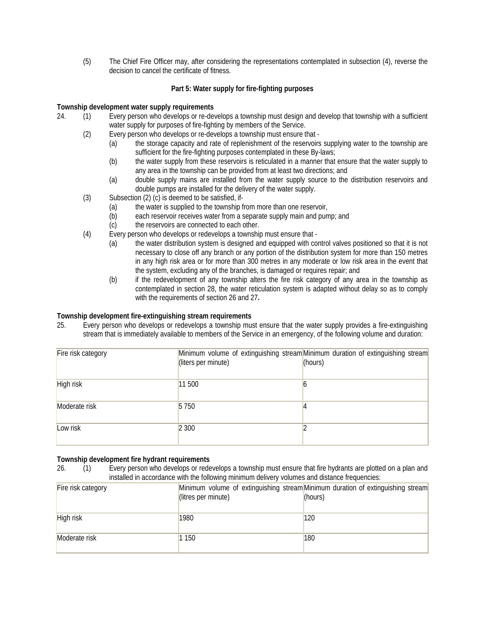(5) The Chief Fire Officer may, after considering the representations contemplated in subsection (4), reverse the decision to cancel the certificate of fitness.

# **Part 5: Water supply for fire-fighting purposes**

# **Township development water supply requirements**

- 24. (1) Every person who develops or re-develops a township must design and develop that township with a sufficient water supply for purposes of fire-fighting by members of the Service.
	- (2) Every person who develops or re-develops a township must ensure that
		- (a) the storage capacity and rate of replenishment of the reservoirs supplying water to the township are sufficient for the fire-fighting purposes contemplated in these By-laws;
		- (b) the water supply from these reservoirs is reticulated in a manner that ensure that the water supply to any area in the township can be provided from at least two directions; and
		- (a) double supply mains are installed from the water supply source to the distribution reservoirs and double pumps are installed for the delivery of the water supply.
	- (3) Subsection (2) (c) is deemed to be satisfied, if-
		- (a) the water is supplied to the township from more than one reservoir,
		- (b) each reservoir receives water from a separate supply main and pump; and
		- (c) the reservoirs are connected to each other.
	- (4) Every person who develops or redevelops a township must ensure that
		- (a) the water distribution system is designed and equipped with control valves positioned so that it is not necessary to close off any branch or any portion of the distribution system for more than 150 metres in any high risk area or for more than 300 metres in any moderate or low risk area in the event that the system, excluding any of the branches, is damaged or requires repair; and
		- (b) if the redevelopment of any township alters the fire risk category of any area in the township as contemplated in section 28, the water reticulation system is adapted without delay so as to comply with the requirements of section 26 and 27**.**

### **Township development fire-extinguishing stream requirements**

25. Every person who develops or redevelops a township must ensure that the water supply provides a fire-extinguishing stream that is immediately available to members of the Service in an emergency, of the following volume and duration:

| Fire risk category | (liters per minute) | Minimum volume of extinguishing stream Minimum duration of extinguishing stream<br>(hours) |
|--------------------|---------------------|--------------------------------------------------------------------------------------------|
| High risk          | 11 500              |                                                                                            |
| Moderate risk      | 5 7 5 0             |                                                                                            |
| Low risk           | 2 300               |                                                                                            |

#### **Township development fire hydrant requirements**

26. (1) Every person who develops or redevelops a township must ensure that fire hydrants are plotted on a plan and installed in accordance with the following minimum delivery volumes and distance frequencies:

| Fire risk category | (litres per minute) | Minimum volume of extinguishing stream Minimum duration of extinguishing stream<br>(hours) |
|--------------------|---------------------|--------------------------------------------------------------------------------------------|
| High risk          | 1980                | 120                                                                                        |
| Moderate risk      | 1 150               | 180                                                                                        |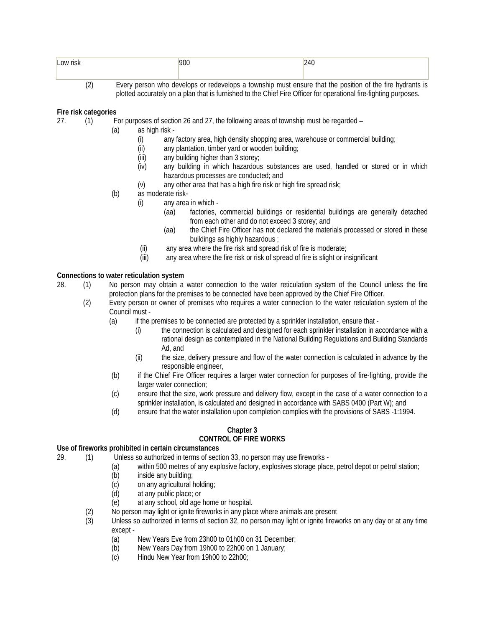| Low risk              | 900 |                                                                                                          |  |
|-----------------------|-----|----------------------------------------------------------------------------------------------------------|--|
|                       |     |                                                                                                          |  |
| $\tilde{\phantom{a}}$ |     | Every person who develops or redevelops a township must ensure that the position of the fire bydrants is |  |

(2) Every person who develops or redevelops a township must ensure that the position of the fire hydrants is plotted accurately on a plan that is furnished to the Chief Fire Officer for operational fire-fighting purposes.

# **Fire risk categories**

- 27. (1) For purposes of section 26 and 27, the following areas of township must be regarded
	- (a) as high risk
		- (i) any factory area, high density shopping area, warehouse or commercial building;
		- (ii) any plantation, timber yard or wooden building;
		- (iii) any building higher than 3 storey;
		- (iv) any building in which hazardous substances are used, handled or stored or in which hazardous processes are conducted; and
		- (v) any other area that has a high fire risk or high fire spread risk;
	- (b) as moderate risk-
		- (i) any area in which
			- (aa) factories, commercial buildings or residential buildings are generally detached from each other and do not exceed 3 storey; and
			- (aa) the Chief Fire Officer has not declared the materials processed or stored in these buildings as highly hazardous ;
			- (ii) any area where the fire risk and spread risk of fire is moderate;
		- (iii) any area where the fire risk or risk of spread of fire is slight or insignificant

#### **Connections to water reticulation system**

28. (1) No person may obtain a water connection to the water reticulation system of the Council unless the fire protection plans for the premises to be connected have been approved by the Chief Fire Officer.

- (2) Every person or owner of premises who requires a water connection to the water reticulation system of the Council must -
	- (a) if the premises to be connected are protected by a sprinkler installation, ensure that
		- (i) the connection is calculated and designed for each sprinkler installation in accordance with a rational design as contemplated in the National Building Regulations and Building Standards Ad, and
		- (ii) the size, delivery pressure and flow of the water connection is calculated in advance by the responsible engineer,
	- (b) if the Chief Fire Officer requires a larger water connection for purposes of fire-fighting, provide the larger water connection;
	- (c) ensure that the size, work pressure and delivery flow, except in the case of a water connection to a sprinkler installation, is calculated and designed in accordance with SABS 0400 (Part W); and
	- (d) ensure that the water installation upon completion complies with the provisions of SABS -1:1994.

#### **Chapter 3 CONTROL OF FIRE WORKS**

# Use of fireworks prohibited in certain circumstances<br>29. (1) Unless so authorized in terms of sect

- (1) Unless so authorized in terms of section 33, no person may use fireworks -
	- (a) within 500 metres of any explosive factory, explosives storage place, petrol depot or petrol station;
		- (b) inside any building;
		- (c) on any agricultural holding;
		- (d) at any public place; or
		- (e) at any school, old age home or hospital.
	- (2) No person may light or ignite fireworks in any place where animals are present
	- (3) Unless so authorized in terms of section 32, no person may light or ignite fireworks on any day or at any time except -
		- (a) New Years Eve from 23h00 to 01h00 on 31 December;
		- (b) New Years Day from 19h00 to 22h00 on 1 January;
		- (c) Hindu New Year from 19h00 to 22h00;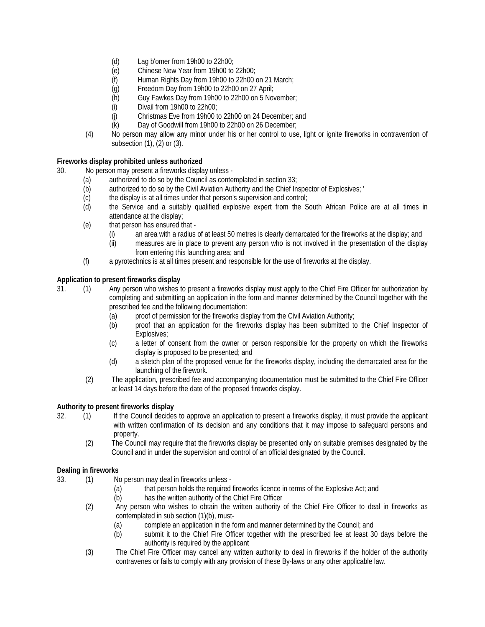- (d) Lag b'omer from 19h00 to 22h00;<br>(e) Chinese New Year from 19h00 to
- Chinese New Year from 19h00 to 22h00;
- (f) Human Rights Day from 19h00 to 22h00 on 21 March;
- (g) Freedom Day from 19h00 to 22h00 on 27 April;
- Guy Fawkes Day from 19h00 to 22h00 on 5 November;
- (i) Divail from 19h00 to 22h00;
- (j) Christmas Eve from 19h00 to 22h00 on 24 December; and
- (k) Day of Goodwill from 19h00 to 22h00 on 26 December;
- (4) No person may allow any minor under his or her control to use, light or ignite fireworks in contravention of subsection (1), (2) or (3).

# **Fireworks display prohibited unless authorized**

30. No person may present a fireworks display unless -

- (a) authorized to do so by the Council as contemplated in section 33;<br>(b) authorized to do so by the Civil Aviation Authority and the Chief In
- authorized to do so by the Civil Aviation Authority and the Chief Inspector of Explosives; '
- (c) the display is at all times under that person's supervision and control;
- (d) the Service and a suitably qualified explosive expert from the South African Police are at all times in attendance at the display;
- (e) that person has ensured that
	- (i) an area with a radius of at least 50 metres is clearly demarcated for the fireworks at the display; and
	- (ii) measures are in place to prevent any person who is not involved in the presentation of the display from entering this launching area; and
- (f) a pyrotechnics is at all times present and responsible for the use of fireworks at the display.

# **Application to present fireworks display**

31. (1) Any person who wishes to present a fireworks display must apply to the Chief Fire Officer for authorization by completing and submitting an application in the form and manner determined by the Council together with the prescribed fee and the following documentation:

- (a) proof of permission for the fireworks display from the Civil Aviation Authority;
- (b) proof that an application for the fireworks display has been submitted to the Chief Inspector of Explosives;
- (c) a letter of consent from the owner or person responsible for the property on which the fireworks display is proposed to be presented; and
- (d) a sketch plan of the proposed venue for the fireworks display, including the demarcated area for the launching of the firework.
- (2) The application, prescribed fee and accompanying documentation must be submitted to the Chief Fire Officer at least 14 days before the date of the proposed fireworks display.

#### **Authority to present fireworks display**

- 32. (1) If the Council decides to approve an application to present a fireworks display, it must provide the applicant with written confirmation of its decision and any conditions that it may impose to safeguard persons and property.
	- (2) The Council may require that the fireworks display be presented only on suitable premises designated by the Council and in under the supervision and control of an official designated by the Council.

#### **Dealing in fireworks**

- 33. (1) No person may deal in fireworks unless
	- (a) that person holds the required fireworks licence in terms of the Explosive Act; and
	- (b) has the written authority of the Chief Fire Officer
	- (2) Any person who wishes to obtain the written authority of the Chief Fire Officer to deal in fireworks as contemplated in sub section (1)(b), must-
		- (a) complete an application in the form and manner determined by the Council; and
		- (b) submit it to the Chief Fire Officer together with the prescribed fee at least 30 days before the authority is required by the applicant
	- (3) The Chief Fire Officer may cancel any written authority to deal in fireworks if the holder of the authority contravenes or fails to comply with any provision of these By-laws or any other applicable law.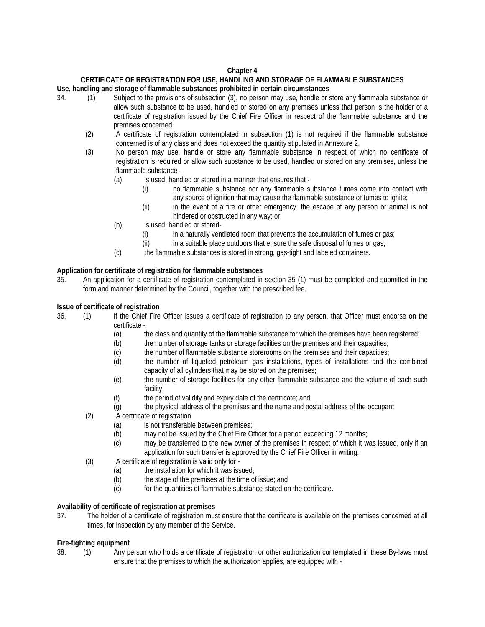# **Chapter 4**

# **CERTIFICATE OF REGISTRATION FOR USE, HANDLING AND STORAGE OF FLAMMABLE SUBSTANCES**

# **Use, handling and storage of flammable substances prohibited in certain circumstances**

- 34. (1) Subject to the provisions of subsection (3), no person may use, handle or store any flammable substance or allow such substance to be used, handled or stored on any premises unless that person is the holder of a certificate of registration issued by the Chief Fire Officer in respect of the flammable substance and the premises concerned.
	- (2) A certificate of registration contemplated in subsection (1) is not required if the flammable substance concerned is of any class and does not exceed the quantity stipulated in Annexure 2.
	- (3) No person may use, handle or store any flammable substance in respect of which no certificate of registration is required or allow such substance to be used, handled or stored on any premises, unless the flammable substance -
		- (a) is used, handled or stored in a manner that ensures that
			- (i) no flammable substance nor any flammable substance fumes come into contact with any source of ignition that may cause the flammable substance or fumes to ignite;
			- (ii) in the event of a fire or other emergency, the escape of any person or animal is not hindered or obstructed in any way; or
		- (b) is used, handled or stored-
			- (i) in a naturally ventilated room that prevents the accumulation of fumes or gas;
			- (ii) in a suitable place outdoors that ensure the safe disposal of fumes or gas;
		- (c) the flammable substances is stored in strong, gas-tight and labeled containers.

# **Application for certificate of registration for flammable substances**

35. An application for a certificate of registration contemplated in section 35 (1) must be completed and submitted in the form and manner determined by the Council, together with the prescribed fee.

# **Issue of certificate of registration**

- 36. (1) If the Chief Fire Officer issues a certificate of registration to any person, that Officer must endorse on the certificate -
	- (a) the class and quantity of the flammable substance for which the premises have been registered;
	- (b) the number of storage tanks or storage facilities on the premises and their capacities;
	- (c) the number of flammable substance storerooms on the premises and their capacities;
	- (d) the number of liquefied petroleum gas installations, types of installations and the combined capacity of all cylinders that may be stored on the premises;
	- (e) the number of storage facilities for any other flammable substance and the volume of each such facility;
	- (f) the period of validity and expiry date of the certificate; and
	- (g) the physical address of the premises and the name and postal address of the occupant
	- (2) A certificate of registration
		- (a) is not transferable between premises;
		- (b) may not be issued by the Chief Fire Officer for a period exceeding 12 months;
		- (c) may be transferred to the new owner of the premises in respect of which it was issued, only if an application for such transfer is approved by the Chief Fire Officer in writing.
	- (3) A certificate of registration is valid only for
		- (a) the installation for which it was issued;
		- (b) the stage of the premises at the time of issue; and (c) for the quantities of flammable substance stated or
		- for the quantities of flammable substance stated on the certificate.

#### **Availability of certificate of registration at premises**

37. The holder of a certificate of registration must ensure that the certificate is available on the premises concerned at all times, for inspection by any member of the Service.

# **Fire-fighting equipment**

38. (1) Any person who holds a certificate of registration or other authorization contemplated in these By-laws must ensure that the premises to which the authorization applies, are equipped with -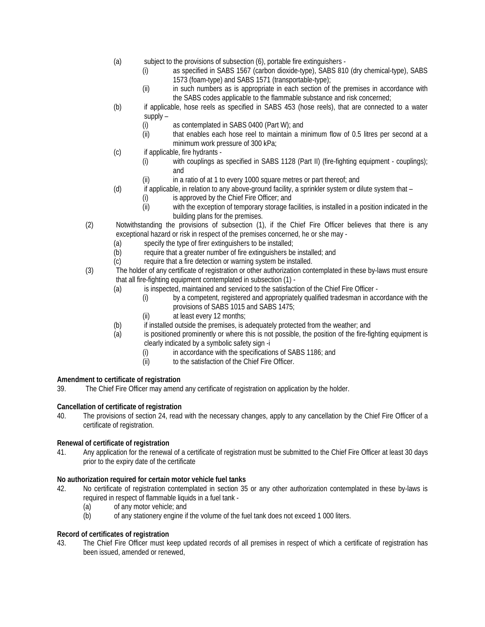- (a) subject to the provisions of subsection (6), portable fire extinguishers
	- (i) as specified in SABS 1567 (carbon dioxide-type), SABS 810 (dry chemical-type), SABS 1573 (foam-type) and SABS 1571 (transportable-type);
	- (ii) in such numbers as is appropriate in each section of the premises in accordance with the SABS codes applicable to the flammable substance and risk concerned;
- (b) if applicable, hose reels as specified in SABS 453 (hose reels), that are connected to a water supply –
	- (i) as contemplated in SABS 0400 (Part W); and
	- (ii) that enables each hose reel to maintain a minimum flow of 0.5 litres per second at a minimum work pressure of 300 kPa;
- (c) if applicable, fire hydrants
	- (i) with couplings as specified in SABS 1128 (Part II) (fire-fighting equipment couplings); and
	- (ii) in a ratio of at 1 to every 1000 square metres or part thereof; and
- (d) if applicable, in relation to any above-ground facility, a sprinkler system or dilute system that
	- (i) is approved by the Chief Fire Officer; and
	- (ii) with the exception of temporary storage facilities, is installed in a position indicated in the building plans for the premises.
- (2) Notwithstanding the provisions of subsection (1), if the Chief Fire Officer believes that there is any exceptional hazard or risk in respect of the premises concerned, he or she may -
	- (a) specify the type of firer extinguishers to be installed;
	- (b) require that a greater number of fire extinguishers be installed; and
	- (c) require that a fire detection or warning system be installed.
- (3) The holder of any certificate of registration or other authorization contemplated in these by-laws must ensure that all fire-fighting equipment contemplated in subsection (1) -
	- (a) is inspected, maintained and serviced to the satisfaction of the Chief Fire Officer
		- (i) by a competent, registered and appropriately qualified tradesman in accordance with the provisions of SABS 1015 and SABS 1475;
		- (ii) at least every 12 months;
	- (b) if installed outside the premises, is adequately protected from the weather; and
	- (a) is positioned prominently or where this is not possible, the position of the fire-fighting equipment is clearly indicated by a symbolic safety sign -i
		- (i) in accordance with the specifications of SABS 1186; and
		- (ii) to the satisfaction of the Chief Fire Officer.

# **Amendment to certificate of registration**

39. The Chief Fire Officer may amend any certificate of registration on application by the holder.

# **Cancellation of certificate of registration**

40. The provisions of section 24, read with the necessary changes, apply to any cancellation by the Chief Fire Officer of a certificate of registration.

# **Renewal of certificate of registration**

41. Any application for the renewal of a certificate of registration must be submitted to the Chief Fire Officer at least 30 days prior to the expiry date of the certificate

# **No authorization required for certain motor vehicle fuel tanks**

- 42. No certificate of registration contemplated in section 35 or any other authorization contemplated in these by-laws is required in respect of flammable liquids in a fuel tank -
	- (a) of any motor vehicle; and
	- (b) of any stationery engine if the volume of the fuel tank does not exceed 1 000 liters.

# **Record of certificates of registration**

43. The Chief Fire Officer must keep updated records of all premises in respect of which a certificate of registration has been issued, amended or renewed,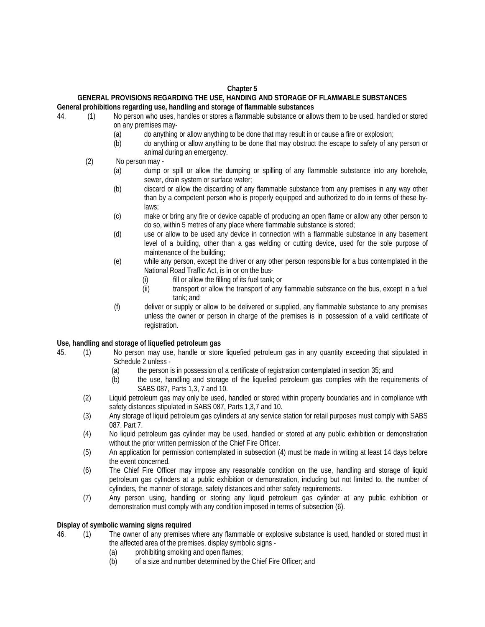### **Chapter 5**

#### **GENERAL PROVISIONS REGARDING THE USE, HANDING AND STORAGE OF FLAMMABLE SUBSTANCES General prohibitions regarding use, handling and storage of flammable substances**

- 44. (1) No person who uses, handles or stores a flammable substance or allows them to be used, handled or stored on any premises may-
	- (a) do anything or allow anything to be done that may result in or cause a fire or explosion;
	- (b) do anything or allow anything to be done that may obstruct the escape to safety of any person or animal during an emergency.
	- (2) No person may
		- (a) dump or spill or allow the dumping or spilling of any flammable substance into any borehole, sewer, drain system or surface water;
		- (b) discard or allow the discarding of any flammable substance from any premises in any way other than by a competent person who is properly equipped and authorized to do in terms of these bylaws;
		- (c) make or bring any fire or device capable of producing an open flame or allow any other person to do so, within 5 metres of any place where flammable substance is stored;
		- (d) use or allow to be used any device in connection with a flammable substance in any basement level of a building, other than a gas welding or cutting device, used for the sole purpose of maintenance of the building;
		- (e) while any person, except the driver or any other person responsible for a bus contemplated in the National Road Traffic Act, is in or on the bus-
			- (i) fill or allow the filling of its fuel tank; or
			- (ii) transport or allow the transport of any flammable substance on the bus, except in a fuel tank; and
		- (f) deliver or supply or allow to be delivered or supplied, any flammable substance to any premises unless the owner or person in charge of the premises is in possession of a valid certificate of registration.

#### **Use, handling and storage of liquefied petroleum gas**

- 45. (1) No person may use, handle or store liquefied petroleum gas in any quantity exceeding that stipulated in Schedule 2 unless -
	- (a) the person is in possession of a certificate of registration contemplated in section 35; and
	- (b) the use, handling and storage of the liquefied petroleum gas complies with the requirements of SABS 087, Parts 1,3, 7 and 10.
	- (2) Liquid petroleum gas may only be used, handled or stored within property boundaries and in compliance with safety distances stipulated in SABS 087, Parts 1,3,7 and 10.
	- (3) Any storage of liquid petroleum gas cylinders at any service station for retail purposes must comply with SABS 087, Part 7.
	- (4) No liquid petroleum gas cylinder may be used, handled or stored at any public exhibition or demonstration without the prior written permission of the Chief Fire Officer.
	- (5) An application for permission contemplated in subsection (4) must be made in writing at least 14 days before the event concerned.
	- (6) The Chief Fire Officer may impose any reasonable condition on the use, handling and storage of liquid petroleum gas cylinders at a public exhibition or demonstration, including but not limited to, the number of cylinders, the manner of storage, safety distances and other safety requirements.
	- (7) Any person using, handling or storing any liquid petroleum gas cylinder at any public exhibition or demonstration must comply with any condition imposed in terms of subsection (6).

#### **Display of symbolic warning signs required**

46. (1) The owner of any premises where any flammable or explosive substance is used, handled or stored must in the affected area of the premises, display symbolic signs -

- 
- (a) prohibiting smoking and open flames;<br>(b) of a size and number determined by the of a size and number determined by the Chief Fire Officer; and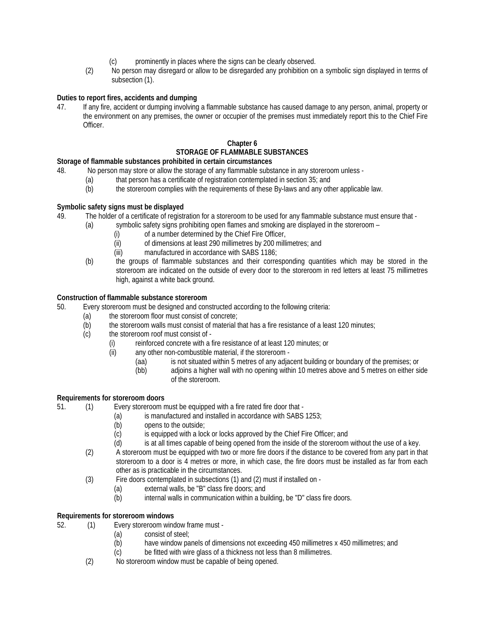- (c) prominently in places where the signs can be clearly observed.
- (2) No person may disregard or allow to be disregarded any prohibition on a symbolic sign displayed in terms of subsection (1).

# **Duties to report fires, accidents and dumping**

47. If any fire, accident or dumping involving a flammable substance has caused damage to any person, animal, property or the environment on any premises, the owner or occupier of the premises must immediately report this to the Chief Fire Officer.

# **Chapter 6 STORAGE OF FLAMMABLE SUBSTANCES**

# **Storage of flammable substances prohibited in certain circumstances**

- 48. No person may store or allow the storage of any flammable substance in any storeroom unless
	- (a) that person has a certificate of registration contemplated in section 35; and<br>(b) the storeroom complies with the requirements of these By-laws and any oth
	- the storeroom complies with the requirements of these By-laws and any other applicable law.

# **Symbolic safety signs must be displayed**

- 49. The holder of a certificate of registration for a storeroom to be used for any flammable substance must ensure that
	- (a) symbolic safety signs prohibiting open flames and smoking are displayed in the storeroom
		- (i) of a number determined by the Chief Fire Officer,
		- (ii) of dimensions at least 290 millimetres by 200 millimetres; and
		- (iii) manufactured in accordance with SABS 1186;
	- (b) the groups of flammable substances and their corresponding quantities which may be stored in the storeroom are indicated on the outside of every door to the storeroom in red letters at least 75 millimetres high, against a white back ground.

#### **Construction of flammable substance storeroom**

- 50. Every storeroom must be designed and constructed according to the following criteria:
	- (a) the storeroom floor must consist of concrete;
	- $\overrightarrow{b}$  the storeroom walls must consist of material that has a fire resistance of a least 120 minutes;
	- (c) the storeroom roof must consist of
		- (i) reinforced concrete with a fire resistance of at least 120 minutes; or
		- (ii) any other non-combustible material, if the storeroom
			- (aa) is not situated within 5 metres of any adjacent building or boundary of the premises; or<br>(bb) adjoins a higher wall with no opening within 10 metres above and 5 metres on either si
			- adjoins a higher wall with no opening within 10 metres above and 5 metres on either side of the storeroom.

#### **Requirements for storeroom doors**

51. (1) Every storeroom must be equipped with a fire rated fire door that -

- (a) is manufactured and installed in accordance with SABS 1253;
- (b) opens to the outside;
- (c) is equipped with a lock or locks approved by the Chief Fire Officer; and
- (d) is at all times capable of being opened from the inside of the storeroom without the use of a key.
- (2) A storeroom must be equipped with two or more fire doors if the distance to be covered from any part in that storeroom to a door is 4 metres or more, in which case, the fire doors must be installed as far from each other as is practicable in the circumstances.
- (3) Fire doors contemplated in subsections (1) and (2) must if installed on
	- (a) external walls, be "B" class fire doors; and
	- (b) internal walls in communication within a building, be "D" class fire doors.

#### **Requirements for storeroom windows**

- 52. (1) Every storeroom window frame must
	- (a) consist of steel;
	- (b) have window panels of dimensions not exceeding 450 millimetres x 450 millimetres; and
	- (c) be fitted with wire glass of a thickness not less than 8 millimetres.
	- (2) No storeroom window must be capable of being opened.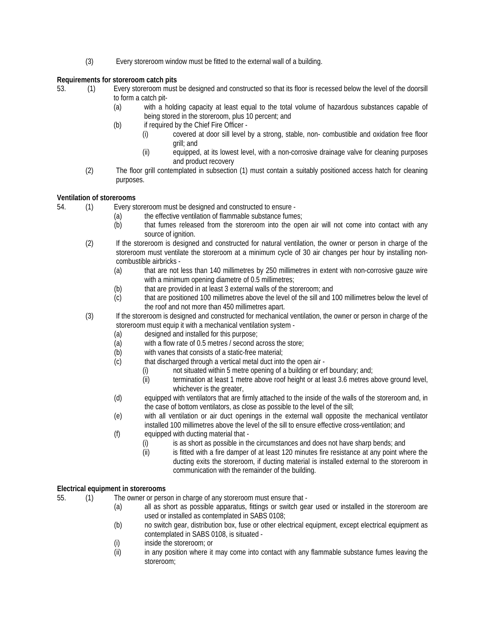(3) Every storeroom window must be fitted to the external wall of a building.

# **Requirements for storeroom catch pits**

- 53. (1) Every storeroom must be designed and constructed so that its floor is recessed below the level of the doorsill to form a catch pit-
	- (a) with a holding capacity at least equal to the total volume of hazardous substances capable of being stored in the storeroom, plus 10 percent; and
	- (b) if required by the Chief Fire Officer
		- (i) covered at door sill level by a strong, stable, non- combustible and oxidation free floor grill; and
		- (ii) equipped, at its lowest level, with a non-corrosive drainage valve for cleaning purposes and product recovery
	- (2) The floor grill contemplated in subsection (1) must contain a suitably positioned access hatch for cleaning purposes.

# **Ventilation of storerooms**

- 54. (1) Every storeroom must be designed and constructed to ensure
	- (a) the effective ventilation of flammable substance fumes;
		- (b) that fumes released from the storeroom into the open air will not come into contact with any source of ignition.
	- (2) If the storeroom is designed and constructed for natural ventilation, the owner or person in charge of the storeroom must ventilate the storeroom at a minimum cycle of 30 air changes per hour by installing noncombustible airbricks -
		- (a) that are not less than 140 millimetres by 250 millimetres in extent with non-corrosive gauze wire with a minimum opening diametre of 0.5 millimetres;
		- (b) that are provided in at least 3 external walls of the storeroom; and
		- (c) that are positioned 100 millimetres above the level of the sill and 100 millimetres below the level of the roof and not more than 450 millimetres apart.
	- (3) If the storeroom is designed and constructed for mechanical ventilation, the owner or person in charge of the storeroom must equip it with a mechanical ventilation system -
		- (a) designed and installed for this purpose;
		- (a) with a flow rate of 0.5 metres / second across the store;
		- (b) with vanes that consists of a static-free material;
		- (c) that discharged through a vertical metal duct into the open air
			- (i) not situated within 5 metre opening of a building or erf boundary; and;
			- (ii) termination at least 1 metre above roof height or at least 3.6 metres above ground level, whichever is the greater.
		- (d) equipped with ventilators that are firmly attached to the inside of the walls of the storeroom and, in the case of bottom ventilators, as close as possible to the level of the sill;
		- (e) with all ventilation or air duct openings in the external wall opposite the mechanical ventilator installed 100 millimetres above the level of the sill to ensure effective cross-ventilation; and
		- (f) equipped with ducting material that
			- (i) is as short as possible in the circumstances and does not have sharp bends; and
			- (ii) is fitted with a fire damper of at least 120 minutes fire resistance at any point where the ducting exits the storeroom, if ducting material is installed external to the storeroom in communication with the remainder of the building.

# **Electrical equipment in storerooms**

- 55. (1) The owner or person in charge of any storeroom must ensure that
	- (a) all as short as possible apparatus, fittings or switch gear used or installed in the storeroom are used or installed as contemplated in SABS 0108;
	- (b) no switch gear, distribution box, fuse or other electrical equipment, except electrical equipment as contemplated in SABS 0108, is situated -
	- (i) inside the storeroom; or
	- (ii) in any position where it may come into contact with any flammable substance fumes leaving the storeroom;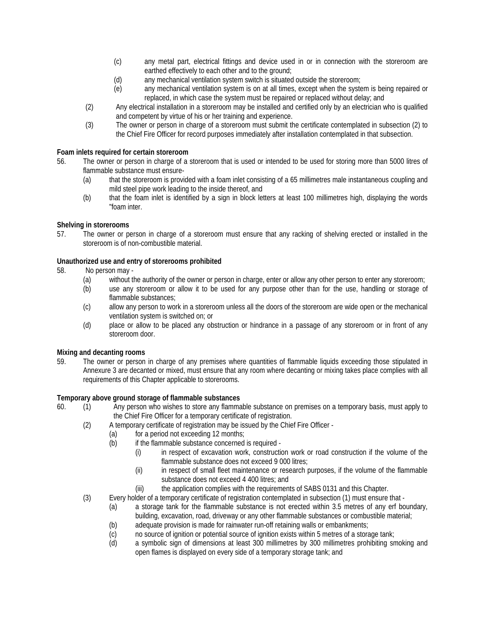- (c) any metal part, electrical fittings and device used in or in connection with the storeroom are earthed effectively to each other and to the ground;
- (d) any mechanical ventilation system switch is situated outside the storeroom;
- (e) any mechanical ventilation system is on at all times, except when the system is being repaired or replaced, in which case the system must be repaired or replaced without delay; and
- (2) Any electrical installation in a storeroom may be installed and certified only by an electrician who is qualified and competent by virtue of his or her training and experience.
- (3) The owner or person in charge of a storeroom must submit the certificate contemplated in subsection (2) to the Chief Fire Officer for record purposes immediately after installation contemplated in that subsection.

### **Foam inlets required for certain storeroom**

- 56. The owner or person in charge of a storeroom that is used or intended to be used for storing more than 5000 litres of flammable substance must ensure-
	- (a) that the storeroom is provided with a foam inlet consisting of a 65 millimetres male instantaneous coupling and mild steel pipe work leading to the inside thereof, and
	- (b) that the foam inlet is identified by a sign in block letters at least 100 millimetres high, displaying the words "foam inter.

#### **Shelving in storerooms**

57. The owner or person in charge of *a* storeroom must ensure that any racking of shelving erected or installed in the storeroom is of non-combustible material.

#### **Unauthorized use and entry of storerooms prohibited**

- 58. No person may
	- (a) without the authority of the owner or person in charge, enter or allow any other person to enter any storeroom;
	- (b) use any storeroom or allow it to be used for any purpose other than for the use, handling or storage of flammable substances;
	- (c) allow any person to work in a storeroom unless all the doors of the storeroom are wide open or the mechanical ventilation system is switched on; or
	- (d) place or allow to be placed any obstruction or hindrance in a passage of any storeroom or in front of any storeroom door.

#### **Mixing and decanting rooms**

59. The owner or person in charge of any premises where quantities of flammable liquids exceeding those stipulated in Annexure 3 are decanted or mixed, must ensure that any room where decanting or mixing takes place complies with all requirements of this Chapter applicable to storerooms.

#### **Temporary above ground storage of flammable substances**

- 60. (1) Any person who wishes to store any flammable substance on premises on a temporary basis, must apply to the Chief Fire Officer for a temporary certificate of registration.
	- (2) A temporary certificate of registration may be issued by the Chief Fire Officer
		- (a) for a period not exceeding 12 months;
		- (b) if the flammable substance concerned is required
			- (i) in respect of excavation work, construction work or road construction if the volume of the flammable substance does not exceed 9 000 litres;
				- (ii) in respect of small fleet maintenance or research purposes, if the volume of the flammable substance does not exceed 4 400 litres; and
			- (iii) the application complies with the requirements of SABS 0131 and this Chapter.
	- (3) Every holder of a temporary certificate of registration contemplated in subsection (1) must ensure that
		- (a) a storage tank for the flammable substance is not erected within 3.5 metres of any erf boundary, building, excavation, road, driveway or any other flammable substances or combustible material;
		- (b) adequate provision is made for rainwater run-off retaining walls or embankments;
		- (c) no source of ignition or potential source of ignition exists within 5 metres of a storage tank;
		- (d) a symbolic sign of dimensions at least 300 millimetres by 300 millimetres prohibiting smoking and open flames is displayed on every side of a temporary storage tank; and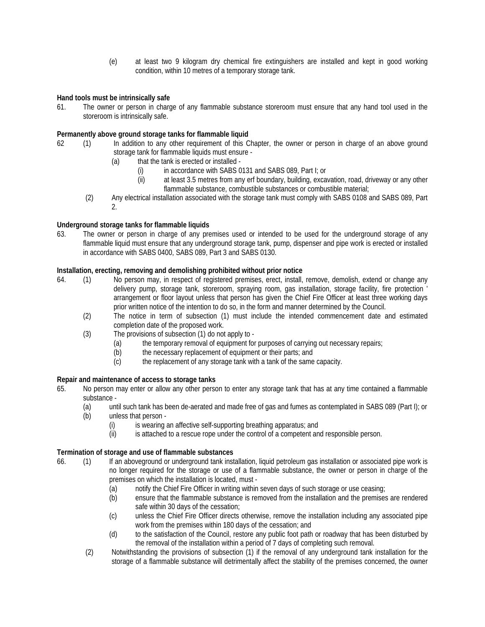(e) at least two 9 kilogram dry chemical fire extinguishers are installed and kept in good working condition, within 10 metres of a temporary storage tank.

# **Hand tools must be intrinsically safe**

61. The owner or person in charge of any flammable substance storeroom must ensure that any hand tool used in the storeroom is intrinsically safe.

### **Permanently above ground storage tanks for flammable liquid**

- 62 (1) In addition to any other requirement of this Chapter, the owner or person in charge of an above ground storage tank for flammable liquids must ensure -
	- (a) that the tank is erected or installed
		- (i) in accordance with SABS 0131 and SABS 089, Part I; or
		- (ii) at least 3.5 metres from any erf boundary, building, excavation, road, driveway or any other flammable substance, combustible substances or combustible material;
	- (2) Any electrical installation associated with the storage tank must comply with SABS 0108 and SABS 089, Part 2.

# **Underground storage tanks for flammable liquids**

63. The owner or person in charge of any premises used or intended to be used for the underground storage of any flammable liquid must ensure that any underground storage tank, pump, dispenser and pipe work is erected or installed in accordance with SABS 0400, SABS 089, Part 3 and SABS 0130.

# **Installation, erecting, removing and demolishing prohibited without prior notice**

- 64. (1) No person may, in respect of registered premises, erect, install, remove, demolish, extend or change any delivery pump, storage tank, storeroom, spraying room, gas installation, storage facility, fire protection ' arrangement or floor layout unless that person has given the Chief Fire Officer at least three working days prior written notice of the intention to do so, in the form and manner determined by the Council.
	- (2) The notice in term of subsection (1) must include the intended commencement date and estimated completion date of the proposed work.
	- (3) The provisions of subsection (1) do not apply to
		- (a) the temporary removal of equipment for purposes of carrying out necessary repairs;
		- (b) the necessary replacement of equipment or their parts; and
		- (c) the replacement of any storage tank with a tank of the same capacity.

#### **Repair and maintenance of access to storage tanks**

- 65. No person may enter or allow any other person to enter any storage tank that has at any time contained a flammable substance -
	- (a) until such tank has been de-aerated and made free of gas and fumes as contemplated in SABS 089 (Part I); or
	- (b) unless that person
		- (i) is wearing an affective self-supporting breathing apparatus; and
		- (ii) is attached to a rescue rope under the control of a competent and responsible person.

#### **Termination of storage and use of flammable substances**

- 66. (1) If an aboveground or underground tank installation, liquid petroleum gas installation or associated pipe work is no longer required for the storage or use of a flammable substance, the owner or person in charge of the premises on which the installation is located, must -
	- (a) notify the Chief Fire Officer in writing within seven days of such storage or use ceasing;
	- (b) ensure that the flammable substance is removed from the installation and the premises are rendered safe within 30 days of the cessation;
	- (c) unless the Chief Fire Officer directs otherwise, remove the installation including any associated pipe work from the premises within 180 days of the cessation; and
	- (d) to the satisfaction of the Council, restore any public foot path or roadway that has been disturbed by the removal of the installation within a period of 7 days of completing such removal.
	- (2) Notwithstanding the provisions of subsection (1) if the removal of any underground tank installation for the storage of a flammable substance will detrimentally affect the stability of the premises concerned, the owner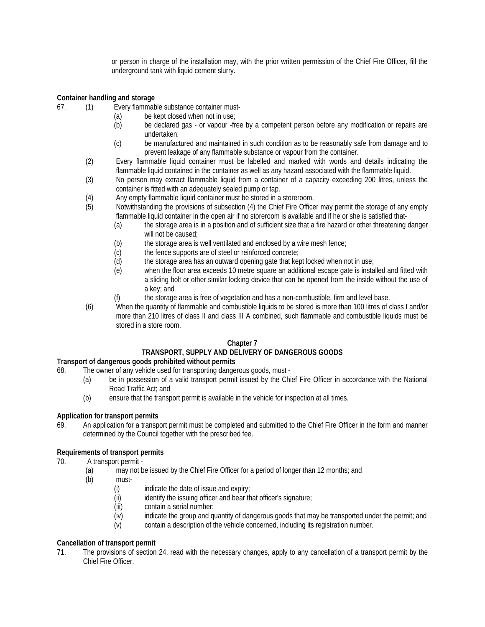or person in charge of the installation may, with the prior written permission of the Chief Fire Officer, fill the underground tank with liquid cement slurry.

# **Container handling and storage**

- 67. (1) Every flammable substance container must-
	- (a) be kept closed when not in use;
	- (b) be declared gas or vapour -free by a competent person before any modification or repairs are undertaken;
	- (c) be manufactured and maintained in such condition as to be reasonably safe from damage and to prevent leakage of any flammable substance or vapour from the container.
	- (2) Every flammable liquid container must be labelled and marked with words and details indicating the flammable liquid contained in the container as well as any hazard associated with the flammable liquid.
	- (3) No person may extract flammable liquid from a container of a capacity exceeding 200 litres, unless the container is fitted with an adequately sealed pump or tap.
	- (4) Any empty flammable liquid container must be stored in a storeroom.
	- (5) Notwithstanding the provisions of subsection (4) the Chief Fire Officer may permit the storage of any empty flammable liquid container in the open air if no storeroom is available and if he or she is satisfied that-
		- (a) the storage area is in a position and of sufficient size that a fire hazard or other threatening danger will not be caused:
		- (b) the storage area is well ventilated and enclosed by a wire mesh fence;
		- (c) the fence supports are of steel or reinforced concrete;
		- (d) the storage area has an outward opening gate that kept locked when not in use;
		- (e) when the floor area exceeds 10 metre square an additional escape gate is installed and fitted with a sliding bolt or other similar locking device that can be opened from the inside without the use of a key; and
		- (f) the storage area is free of vegetation and has a non-combustible, firm and level base.
	- (6) When the quantity of flammable and combustible liquids to be stored is more than 100 litres of class I and/or more than 210 litres of class II and class III A combined, such flammable and combustible liquids must be stored in a store room.

# **Chapter 7**

# **TRANSPORT, SUPPLY AND DELIVERY OF DANGEROUS GOODS**

# **Transport of dangerous goods prohibited without permits** 68. The owner of any vehicle used for transporting dange

- The owner of any vehicle used for transporting dangerous goods, must -
	- (a) be in possession of a valid transport permit issued by the Chief Fire Officer in accordance with the National Road Traffic Act; and
	- (b) ensure that the transport permit is available in the vehicle for inspection at all times.

# **Application for transport permits**

69. An application for a transport permit must be completed and submitted to the Chief Fire Officer in the form and manner determined by the Council together with the prescribed fee.

# **Requirements of transport permits**

- 70. A transport permit
	- (a) may not be issued by the Chief Fire Officer for a period of longer than 12 months; and
	- (b) must-
		- (i) indicate the date of issue and expiry;
		- (ii) identify the issuing officer and bear that officer's signature;
		- (iii) contain a serial number;
		- (iv) indicate the group and quantity of dangerous goods that may be transported under the permit; and
		- (v) contain a description of the vehicle concerned, including its registration number.

# **Cancellation of transport permit**

71. The provisions of section 24, read with the necessary changes, apply to any cancellation of a transport permit by the Chief Fire Officer.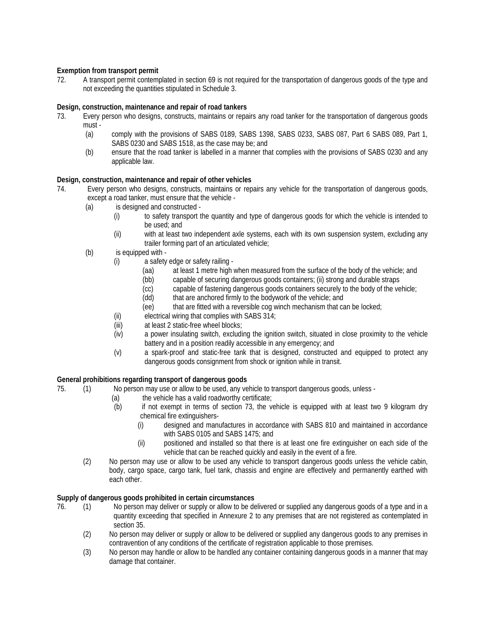# **Exemption from transport permit**

72. A transport permit contemplated in section 69 is not required for the transportation of dangerous goods of the type and not exceeding the quantities stipulated in Schedule 3.

### **Design, construction, maintenance and repair of road tankers**

- 73. Every person who designs, constructs, maintains or repairs any road tanker for the transportation of dangerous goods must -
	- (a) comply with the provisions of SABS 0189, SABS 1398, SABS 0233, SABS 087, Part 6 SABS 089, Part 1, SABS 0230 and SABS 1518, as the case may be; and
	- (b) ensure that the road tanker is labelled in a manner that complies with the provisions of SABS 0230 and any applicable law.

#### **Design, construction, maintenance and repair of other vehicles**

- 74. Every person who designs, constructs, maintains or repairs any vehicle for the transportation of dangerous goods, except a road tanker, must ensure that the vehicle -
	- (a) is designed and constructed
		- (i) to safety transport the quantity and type of dangerous goods for which the vehicle is intended to be used; and
		- (ii) with at least two independent axle systems, each with its own suspension system, excluding any trailer forming part of an articulated vehicle;
	- (b) is equipped with
		- (i) a safety edge or safety railing
			- (aa) at least 1 metre high when measured from the surface of the body of the vehicle; and (bb) capable of securing dangerous goods containers; (ii) strong and durable straps
				- capable of securing dangerous goods containers; (ii) strong and durable straps
			- (cc) capable of fastening dangerous goods containers securely to the body of the vehicle;
			- (dd) that are anchored firmly to the bodywork of the vehicle; and
			- (ee) that are fitted with a reversible cog winch mechanism that can be locked;
		- (ii) electrical wiring that complies with SABS 314;
		- (iii) at least 2 static-free wheel blocks;
		- (iv) a power insulating switch, excluding the ignition switch, situated in close proximity to the vehicle battery and in a position readily accessible in any emergency; and
		- (v) a spark-proof and static-free tank that is designed, constructed and equipped to protect any dangerous goods consignment from shock or ignition while in transit.

#### **General prohibitions regarding transport of dangerous goods**

- 75. (1) No person may use or allow to be used, any vehicle to transport dangerous goods, unless
	- (a) the vehicle has a valid roadworthy certificate;
	- (b) if not exempt in terms of section 73, the vehicle is equipped with at least two 9 kilogram dry chemical fire extinguishers-
		- (i) designed and manufactures in accordance with SABS 810 and maintained in accordance with SABS 0105 and SABS 1475; and
		- (ii) positioned and installed so that there is at least one fire extinguisher on each side of the vehicle that can be reached quickly and easily in the event of a fire.
	- (2) No person may use or allow to be used any vehicle to transport dangerous goods unless the vehicle cabin, body, cargo space, cargo tank, fuel tank, chassis and engine are effectively and permanently earthed with each other.

#### **Supply of dangerous goods prohibited in certain circumstances**

- 76. (1) No person may deliver or supply or allow to be delivered or supplied any dangerous goods of a type and in a quantity exceeding that specified in Annexure 2 to any premises that are not registered as contemplated in section 35.
	- (2) No person may deliver or supply or allow to be delivered or supplied any dangerous goods to any premises in contravention of any conditions of the certificate of registration applicable to those premises.
	- (3) No person may handle or allow to be handled any container containing dangerous goods in a manner that may damage that container.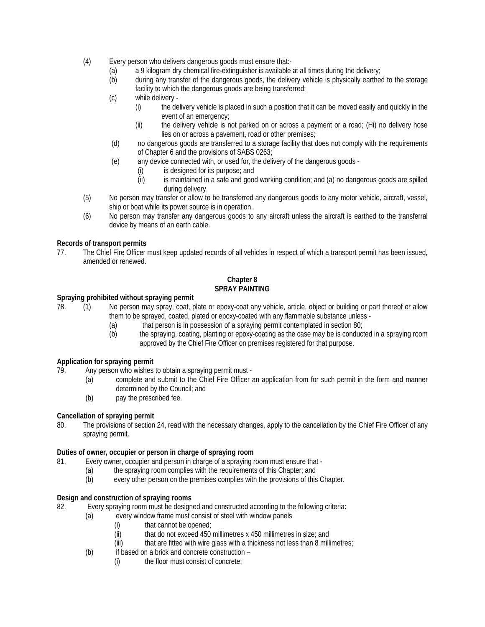- (4) Every person who delivers dangerous goods must ensure that:-
	- (a) a 9 kilogram dry chemical fire-extinguisher is available at all times during the delivery;
	- (b) during any transfer of the dangerous goods, the delivery vehicle is physically earthed to the storage facility to which the dangerous goods are being transferred;
	- (c) while delivery
		- (i) the delivery vehicle is placed in such a position that it can be moved easily and quickly in the event of an emergency;
		- (ii) the delivery vehicle is not parked on or across a payment or a road; (Hi) no delivery hose lies on or across a pavement, road or other premises;
	- (d) no dangerous goods are transferred to a storage facility that does not comply with the requirements of Chapter 6 and the provisions of SABS 0263;
	- (e) any device connected with, or used for, the delivery of the dangerous goods
		- (i) is designed for its purpose; and
		- (ii) is maintained in a safe and good working condition; and (a) no dangerous goods are spilled during delivery.
- (5) No person may transfer or allow to be transferred any dangerous goods to any motor vehicle, aircraft, vessel, ship or boat while its power source is in operation.
- (6) No person may transfer any dangerous goods to any aircraft unless the aircraft is earthed to the transferral device by means of an earth cable.

# **Records of transport permits**

77. The Chief Fire Officer must keep updated records of all vehicles in respect of which a transport permit has been issued, amended or renewed.

# **Chapter 8 SPRAY PAINTING**

# **Spraying prohibited without spraying permit**

- 78. (1) No person may spray, coat, plate or epoxy-coat any vehicle, article, object or building or part thereof or allow them to be sprayed, coated, plated or epoxy-coated with any flammable substance unless -
	- (a) that person is in possession of a spraying permit contemplated in section 80;
	- (b) the spraying, coating, planting or epoxy-coating as the case may be is conducted in a spraying room approved by the Chief Fire Officer on premises registered for that purpose.

# **Application for spraying permit**<br>79. Any person who wishes

- Any person who wishes to obtain a spraying permit must -
	- (a) complete and submit to the Chief Fire Officer an application from for such permit in the form and manner determined by the Council; and
	- (b) pay the prescribed fee.

#### **Cancellation of spraying permit**

80. The provisions of section 24, read with the necessary changes, apply to the cancellation by the Chief Fire Officer of any spraying permit.

# **Duties of owner, occupier or person in charge of spraying room**

- 81. Every owner, occupier and person in charge of a spraying room must ensure that
	- (a) the spraying room complies with the requirements of this Chapter; and
	- (b) every other person on the premises complies with the provisions of this Chapter.

#### **Design and construction of spraying rooms**

82. Every spraying room must be designed and constructed according to the following criteria:

- (a) every window frame must consist of steel with window panels
	- (i) that cannot be opened;
	- (ii) that do not exceed 450 millimetres x 450 millimetres in size; and
	- (iii) that are fitted with wire glass with a thickness not less than 8 millimetres;
- (b) if based on a brick and concrete construction
	- (i) the floor must consist of concrete;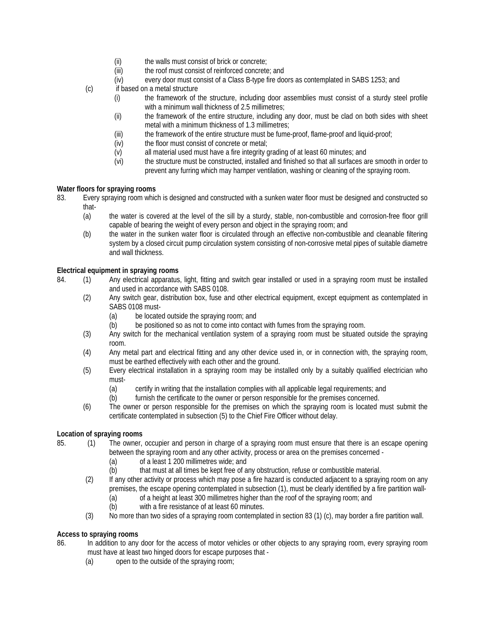- (ii) the walls must consist of brick or concrete;<br>(iii) the roof must consist of reinforced concrete
- the roof must consist of reinforced concrete; and
- (iv) every door must consist of a Class B-type fire doors as contemplated in SABS 1253; and
- (c) if based on a metal structure
	- (i) the framework of the structure, including door assemblies must consist of a sturdy steel profile with a minimum wall thickness of 2.5 millimetres;
	- (ii) the framework of the entire structure, including any door, must be clad on both sides with sheet metal with a minimum thickness of 1.3 millimetres;
	- (iii) the framework of the entire structure must be fume-proof, flame-proof and liquid-proof;
	- (iv) the floor must consist of concrete or metal;
	- (v) all material used must have a fire integrity grading of at least 60 minutes; and
	- (vi) the structure must be constructed, installed and finished so that all surfaces are smooth in order to prevent any furring which may hamper ventilation, washing or cleaning of the spraying room.

# **Water floors for spraying rooms**

- 83. Every spraying room which is designed and constructed with a sunken water floor must be designed and constructed so that-
	- (a) the water is covered at the level of the sill by a sturdy, stable, non-combustible and corrosion-free floor grill capable of bearing the weight of every person and object in the spraying room; and
	- (b) the water in the sunken water floor is circulated through an effective non-combustible and cleanable filtering system by a closed circuit pump circulation system consisting of non-corrosive metal pipes of suitable diametre and wall thickness.

# **Electrical equipment in spraying rooms**

- 84. (1) Any electrical apparatus, light, fitting and switch gear installed or used in a spraying room must be installed and used in accordance with SABS 0108.
	- (2) Any switch gear, distribution box, fuse and other electrical equipment, except equipment as contemplated in SABS 0108 must-
		- (a) be located outside the spraying room; and
		- (b) be positioned so as not to come into contact with fumes from the spraying room.
	- (3) Any switch for the mechanical ventilation system of a spraying room must be situated outside the spraying room.
	- (4) Any metal part and electrical fitting and any other device used in, or in connection with, the spraying room, must be earthed effectively with each other and the ground.
	- (5) Every electrical installation in a spraying room may be installed only by a suitably qualified electrician who must-
		- (a) certify in writing that the installation complies with all applicable legal requirements; and
		- (b) furnish the certificate to the owner or person responsible for the premises concerned.
	- (6) The owner or person responsible for the premises on which the spraying room is located must submit the certificate contemplated in subsection (5) to the Chief Fire Officer without delay.

#### **Location of spraying rooms**

- 85. (1) The owner, occupier and person in charge of a spraying room must ensure that there is an escape opening between the spraying room and any other activity, process or area on the premises concerned -
	- (a) of a least 1 200 millimetres wide; and
	- (b) that must at all times be kept free of any obstruction, refuse or combustible material.
	- (2) If any other activity or process which may pose a fire hazard is conducted adjacent to a spraying room on any premises, the escape opening contemplated in subsection (1), must be clearly identified by a fire partition wall-
		- (a) of a height at least 300 millimetres higher than the roof of the spraying room; and
		- (b) with a fire resistance of at least 60 minutes.
	- (3) No more than two sides of a spraying room contemplated in section 83 (1) (c), may border a fire partition wall.

# **Access to spraying rooms**

- 86. In addition to any door for the access of motor vehicles or other objects to any spraying room, every spraying room must have at least two hinged doors for escape purposes that -
	- (a) open to the outside of the spraying room;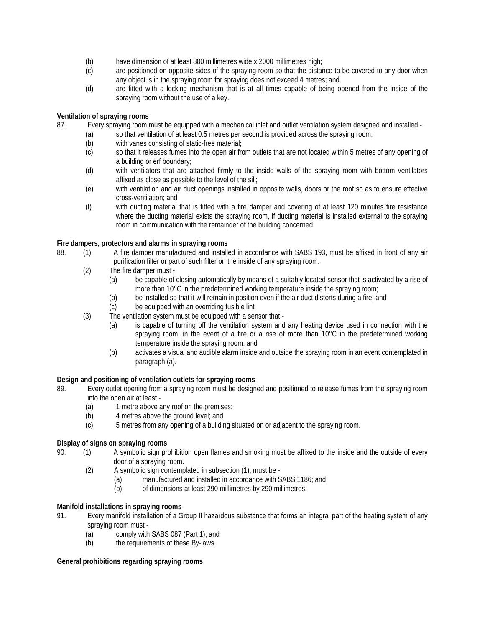- (b) have dimension of at least 800 millimetres wide x 2000 millimetres high;
- (c) are positioned on opposite sides of the spraying room so that the distance to be covered to any door when any object is in the spraying room for spraying does not exceed 4 metres; and
- (d) are fitted with a locking mechanism that is at all times capable of being opened from the inside of the spraying room without the use of a key.

# **Ventilation of spraying rooms**

- 87. Every spraying room must be equipped with a mechanical inlet and outlet ventilation system designed and installed
	- (a) so that ventilation of at least 0.5 metres per second is provided across the spraying room;
	- (b) with vanes consisting of static-free material;
	- (c) so that it releases fumes into the open air from outlets that are not located within 5 metres of any opening of a building or erf boundary;
	- (d) with ventilators that are attached firmly to the inside walls of the spraying room with bottom ventilators affixed as close as possible to the level of the sill;
	- (e) with ventilation and air duct openings installed in opposite walls, doors or the roof so as to ensure effective cross-ventilation; and
	- (f) with ducting material that is fitted with a fire damper and covering of at least 120 minutes fire resistance where the ducting material exists the spraying room, if ducting material is installed external to the spraying room in communication with the remainder of the building concerned.

# **Fire dampers, protectors and alarms in spraying rooms**

- 88. (1) A fire damper manufactured and installed in accordance with SABS 193, must be affixed in front of any air purification filter or part of such filter on the inside of any spraying room.
	- (2) The fire damper must
		- (a) be capable of closing automatically by means of a suitably located sensor that is activated by a rise of more than 10°C in the predetermined working temperature inside the spraying room;
		- (b) be installed so that it will remain in position even if the air duct distorts during a fire; and
		- (c) be equipped with an overriding fusible lint
	- (3) The ventilation system must be equipped with a sensor that
		- (a) is capable of turning off the ventilation system and any heating device used in connection with the spraying room, in the event of a fire or a rise of more than 10°C in the predetermined working temperature inside the spraying room; and
		- (b) activates a visual and audible alarm inside and outside the spraying room in an event contemplated in paragraph (a).

#### **Design and positioning of ventilation outlets for spraying rooms**

- 89. Every outlet opening from a spraying room must be designed and positioned to release fumes from the spraying room into the open air at least -
	- (a) 1 metre above any roof on the premises;
	- (b) 4 metres above the ground level; and
	- (c) 5 metres from any opening of a building situated on or adjacent to the spraying room.

# **Display of signs on spraying rooms**

- 90. (1) A symbolic sign prohibition open flames and smoking must be affixed to the inside and the outside of every door of a spraying room.
	- (2) A symbolic sign contemplated in subsection (1), must be
		- (a) manufactured and installed in accordance with SABS 1186; and (b) of dimensions at least 290 millimetres by 290 millimetres.
		- of dimensions at least 290 millimetres by 290 millimetres.

#### **Manifold installations in spraying rooms**

91. Every manifold installation of a Group II hazardous substance that forms an integral part of the heating system of any spraying room must -

- (a) comply with SABS 087 (Part 1); and
- (b) the requirements of these By-laws.

#### **General prohibitions regarding spraying rooms**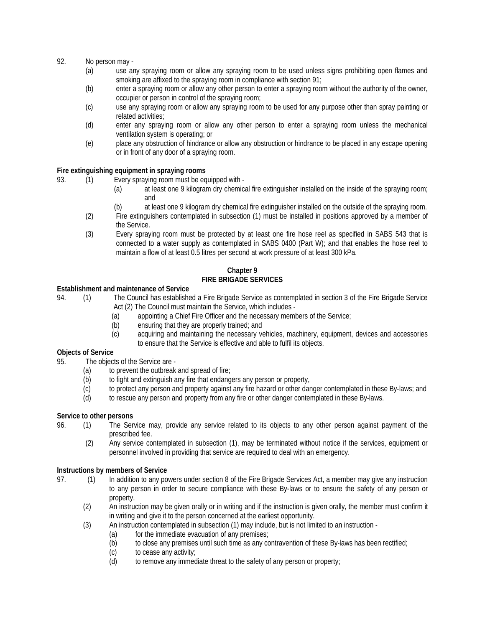# 92. No person may -

- (a) use any spraying room or allow any spraying room to be used unless signs prohibiting open flames and smoking are affixed to the spraying room in compliance with section 91;
- (b) enter a spraying room or allow any other person to enter a spraying room without the authority of the owner, occupier or person in control of the spraying room;
- (c) use any spraying room or allow any spraying room to be used for any purpose other than spray painting or related activities;
- (d) enter any spraying room or allow any other person to enter a spraying room unless the mechanical ventilation system is operating; or
- (e) place any obstruction of hindrance or allow any obstruction or hindrance to be placed in any escape opening or in front of any door of a spraying room.

#### **Fire extinguishing equipment in spraying rooms**

- 93. (1) Every spraying room must be equipped with
	- (a) at least one 9 kilogram dry chemical fire extinguisher installed on the inside of the spraying room; and
	- (b) at least one 9 kilogram dry chemical fire extinguisher installed on the outside of the spraying room.
	- (2) Fire extinguishers contemplated in subsection (1) must be installed in positions approved by a member of the Service.
	- (3) Every spraying room must be protected by at least one fire hose reel as specified in SABS 543 that is connected to a water supply as contemplated in SABS 0400 (Part W); and that enables the hose reel to maintain a flow of at least 0.5 litres per second at work pressure of at least 300 kPa.

#### **Chapter 9 FIRE BRIGADE SERVICES**

#### **Establishment and maintenance of Service**

94. (1) The Council has established a Fire Brigade Service as contemplated in section 3 of the Fire Brigade Service Act (2) The Council must maintain the Service, which includes -

- (a) appointing a Chief Fire Officer and the necessary members of the Service;
- (b) ensuring that they are properly trained; and
- (c) acquiring and maintaining the necessary vehicles, machinery, equipment, devices and accessories to ensure that the Service is effective and able to fulfil its objects.

# **Objects of Service**

- 95. The objects of the Service are
	- $(a)$  to prevent the outbreak and spread of fire;
	- (b) to fight and extinguish any fire that endangers any person or property,
	- (c) to protect any person and property against any fire hazard or other danger contemplated in these By-laws; and
	- (d) to rescue any person and property from any fire or other danger contemplated in these By-laws.

#### **Service to other persons**

- 96. (1) The Service may, provide any service related to its objects to any other person against payment of the prescribed fee.
	- (2) Any service contemplated in subsection (1), may be terminated without notice if the services, equipment or personnel involved in providing that service are required to deal with an emergency.

#### **Instructions by members of Service**

- 97. (1) In addition to any powers under section 8 of the Fire Brigade Services Act, a member may give any instruction to any person in order to secure compliance with these By-laws or to ensure the safety of any person or property.
	- (2) An instruction may be given orally or in writing and if the instruction is given orally, the member must confirm it in writing and give it to the person concerned at the earliest opportunity.
	- (3) An instruction contemplated in subsection (1) may include, but is not limited to an instruction
		-
		- (a) for the immediate evacuation of any premises;<br>(b) to close any premises until such time as any co to close any premises until such time as any contravention of these By-laws has been rectified;
		- (c) to cease any activity;
		- (d) to remove any immediate threat to the safety of any person or property;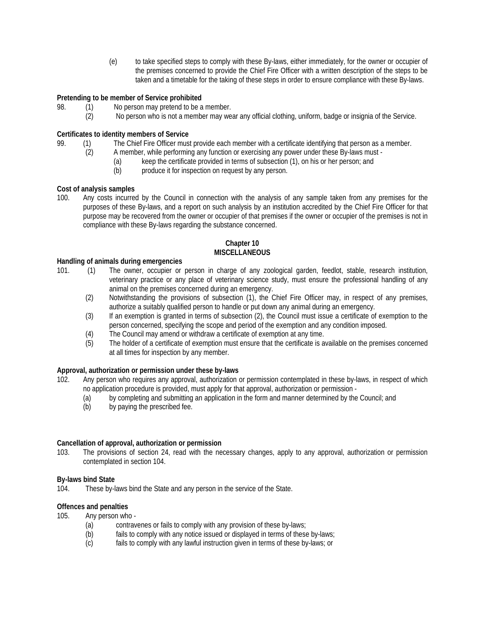(e) to take specified steps to comply with these By-laws, either immediately, for the owner or occupier of the premises concerned to provide the Chief Fire Officer with a written description of the steps to be taken and a timetable for the taking of these steps in order to ensure compliance with these By-laws.

# **Pretending to be member of Service prohibited**

- 98. (1) No person may pretend to be a member.
	- (2) No person who is not a member may wear any official clothing, uniform, badge or insignia of the Service.

#### **Certificates to identity members of Service**

- 99. (1) The Chief Fire Officer must provide each member with a certificate identifying that person as a member.
	- (2) A member, while performing any function or exercising any power under these By-laws must
		- (a) keep the certificate provided in terms of subsection (1), on his or her person; and produce it for inspection on request by any person.
		- produce it for inspection on request by any person.

# **Cost of analysis samples**

100. Any costs incurred by the Council in connection with the analysis of any sample taken from any premises for the purposes of these By-laws, and a report on such analysis by an institution accredited by the Chief Fire Officer for that purpose may be recovered from the owner or occupier of that premises if the owner or occupier of the premises is not in compliance with these By-laws regarding the substance concerned.

# **Chapter 10 MISCELLANEOUS**

#### **Handling of animals during emergencies**

- 101. (1) The owner, occupier or person in charge of any zoological garden, feedlot, stable, research institution, veterinary practice or any place of veterinary science study, must ensure the professional handling of any animal on the premises concerned during an emergency.
	- (2) Notwithstanding the provisions of subsection (1), the Chief Fire Officer may, in respect of any premises, authorize a suitably qualified person to handle or put down any animal during an emergency.
	- (3) If an exemption is granted in terms of subsection (2), the Council must issue a certificate of exemption to the person concerned, specifying the scope and period of the exemption and any condition imposed.
	- (4) The Council may amend or withdraw a certificate of exemption at any time.
	- (5) The holder of a certificate of exemption must ensure that the certificate is available on the premises concerned at all times for inspection by any member.

#### **Approval, authorization or permission under these by-laws**

- 102. Any person who requires any approval, authorization or permission contemplated in these by-laws, in respect of which no application procedure is provided, must apply for that approval, authorization or permission -
	- (a) by completing and submitting an application in the form and manner determined by the Council; and
	- (b) by paying the prescribed fee.

#### **Cancellation of approval, authorization or permission**

103. The provisions of section 24, read with the necessary changes, apply to any approval, authorization or permission contemplated in section 104.

#### **By-laws bind State**

104. These by-laws bind the State and any person in the service of the State.

# **Offences and penalties**

- 105. Any person who
	- (a) contravenes or fails to comply with any provision of these by-laws;
	- (b) fails to comply with any notice issued or displayed in terms of these by-laws;
	- (c) fails to comply with any lawful instruction given in terms of these by-laws; or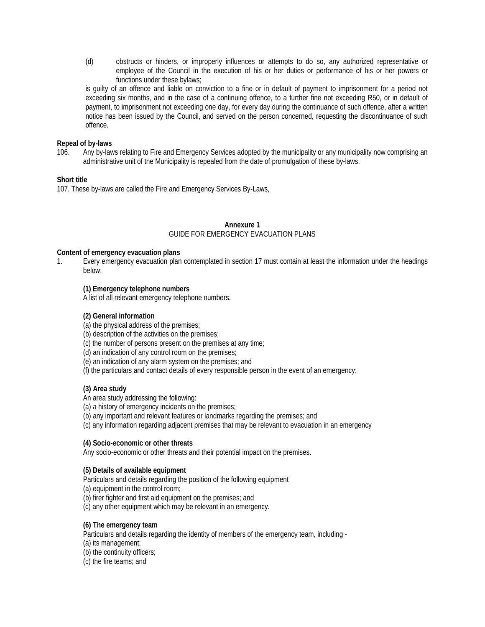(d) obstructs or hinders, or improperly influences or attempts to do so, any authorized representative or employee of the Council in the execution of his or her duties or performance of his or her powers or functions under these bylaws;

is guilty of an offence and liable on conviction to a fine or in default of payment to imprisonment for a period not exceeding six months, and in the case of a continuing offence, to a further fine not exceeding R50, or in default of payment, to imprisonment not exceeding one day, for every day during the continuance of such offence, after a written notice has been issued by the Council, and served on the person concerned, requesting the discontinuance of such offence.

#### **Repeal of by-laws**

106. Any by-laws relating to Fire and Emergency Services adopted by the municipality or any municipality now comprising an administrative unit of the Municipality is repealed from the date of promulgation of these by-laws.

# **Short title**

107. These by-laws are called the Fire and Emergency Services By-Laws,

#### **Annexure 1** GUIDE FOR EMERGENCY EVACUATION PLANS

#### **Content of emergency evacuation plans**

1. Every emergency evacuation plan contemplated in section 17 must contain at least the information under the headings below:

# **(1) Emergency telephone numbers**

A list of all relevant emergency telephone numbers.

### **(2) General information**

- (a) the physical address of the premises;
- (b) description of the activities on the premises;
- (c) the number of persons present on the premises at any time;
- (d) an indication of any control room on the premises;
- (e) an indication of any alarm system on the premises; and
- (f) the particulars and contact details of every responsible person in the event of an emergency;

#### **(3) Area study**

An area study addressing the following:

- (a) a history of emergency incidents on the premises;
- (b) any important and relevant features or landmarks regarding the premises; and
- (c) any information regarding adjacent premises that may be relevant to evacuation in an emergency

#### **(4) Socio-economic or other threats**

Any socio-economic or other threats and their potential impact on the premises.

#### **(5) Details of available equipment**

Particulars and details regarding the position of the following equipment

(a) equipment in the control room;

(b) firer fighter and first aid equipment on the premises; and

- (c) any other equipment which may be relevant in an emergency.
- **(6) The emergency team**

Particulars and details regarding the identity of members of the emergency team, including -

(a) its management;

(b) the continuity officers;

(c) the fire teams; and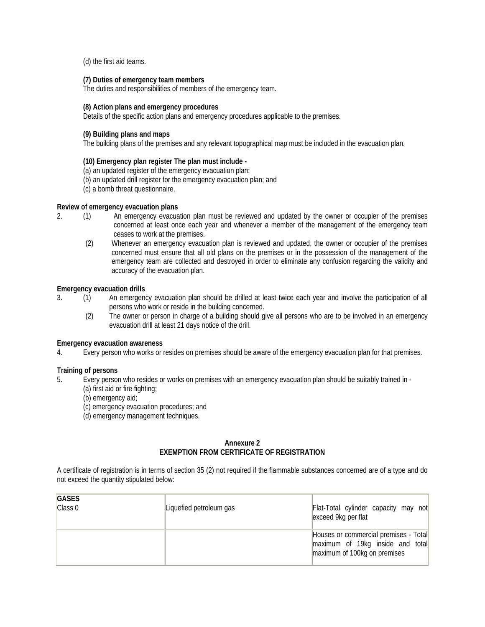(d) the first aid teams.

#### **(7) Duties of emergency team members**

The duties and responsibilities of members of the emergency team.

#### **(8) Action plans and emergency procedures**

Details of the specific action plans and emergency procedures applicable to the premises.

#### **(9) Building plans and maps**

The building plans of the premises and any relevant topographical map must be included in the evacuation plan.

#### **(10) Emergency plan register The plan must include -**

(a) an updated register of the emergency evacuation plan;

- (b) an updated drill register for the emergency evacuation plan; and
- (c) a bomb threat questionnaire.

#### **Review of emergency evacuation plans**

- 2. (1) An emergency evacuation plan must be reviewed and updated by the owner or occupier of the premises concerned at least once each year and whenever a member of the management of the emergency team ceases to work at the premises.
	- (2) Whenever an emergency evacuation plan is reviewed and updated, the owner or occupier of the premises concerned must ensure that all old plans on the premises or in the possession of the management of the emergency team are collected and destroyed in order to eliminate any confusion regarding the validity and accuracy of the evacuation plan.

#### **Emergency evacuation drills**

- 3. (1) An emergency evacuation plan should be drilled at least twice each year and involve the participation of all persons who work or reside in the building concerned.
	- (2) The owner or person in charge of a building should give all persons who are to be involved in an emergency evacuation drill at least 21 days notice of the drill.

#### **Emergency evacuation awareness**

4. Every person who works or resides on premises should be aware of the emergency evacuation plan for that premises.

#### **Training of persons**

5. Every person who resides or works on premises with an emergency evacuation plan should be suitably trained in -

- (a) first aid or fire fighting;
- (b) emergency aid;
- (c) emergency evacuation procedures; and
- (d) emergency management techniques.

#### **Annexure 2 EXEMPTION FROM CERTIFICATE OF REGISTRATION**

A certificate of registration is in terms of section 35 (2) not required if the flammable substances concerned are of a type and do not exceed the quantity stipulated below:

| <b>GASES</b><br>Class 0 | Liquefied petroleum gas | Flat-Total cylinder capacity may not<br>exceed 9kg per flat                                               |
|-------------------------|-------------------------|-----------------------------------------------------------------------------------------------------------|
|                         |                         | Houses or commercial premises - Total<br>maximum of 19kg inside and total<br>maximum of 100kg on premises |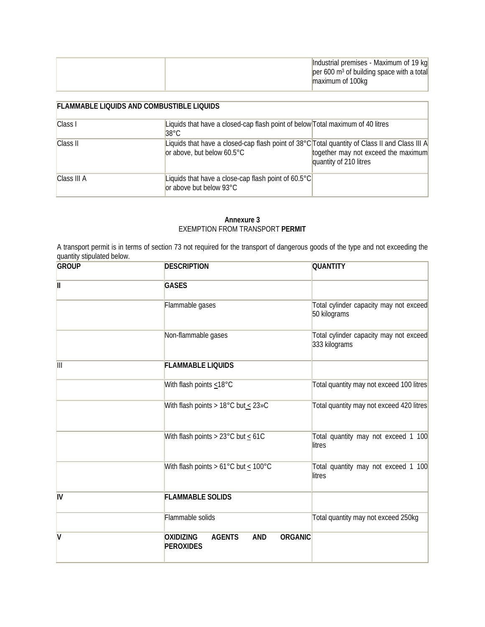| Industrial premises - Maximum of 19 kg<br>$\left  \text{per } 600 \text{ m}^3 \text{ of building space with a total} \right $ |
|-------------------------------------------------------------------------------------------------------------------------------|
| maximum of 100kg                                                                                                              |

| <b>FLAMMABLE LIQUIDS AND COMBUSTIBLE LIQUIDS</b> |                                                                                                                                                                                                        |  |
|--------------------------------------------------|--------------------------------------------------------------------------------------------------------------------------------------------------------------------------------------------------------|--|
| Class I                                          | Liquids that have a closed-cap flash point of below Total maximum of 40 litres<br>$38^{\circ}$ C                                                                                                       |  |
| Class II                                         | Liquids that have a closed-cap flash point of 38°C Total quantity of Class II and Class III A<br>together may not exceed the maximum<br>or above, but below $60.5^{\circ}$ C<br>quantity of 210 litres |  |
| Class III A                                      | Liquids that have a close-cap flash point of $60.5^{\circ}$ C<br>or above but below 93°C                                                                                                               |  |

# **Annexure 3** EXEMPTION FROM TRANSPORT **PERMIT**

A transport permit is in terms of section 73 not required for the transport of dangerous goods of the type and not exceeding the quantity stipulated below.

| <b>GROUP</b> | <b>DESCRIPTION</b>                                                                    | <b>QUANTITY</b>                                         |
|--------------|---------------------------------------------------------------------------------------|---------------------------------------------------------|
| $\mathbf{I}$ | <b>GASES</b>                                                                          |                                                         |
|              | Flammable gases                                                                       | Total cylinder capacity may not exceed<br>50 kilograms  |
|              | Non-flammable gases                                                                   | Total cylinder capacity may not exceed<br>333 kilograms |
| Ш            | <b>FLAMMABLE LIQUIDS</b>                                                              |                                                         |
|              | With flash points $\leq 18^{\circ}$ C                                                 | Total quantity may not exceed 100 litres                |
|              | With flash points > 18°C but $\leq$ 23»C                                              | Total quantity may not exceed 420 litres                |
|              | With flash points > 23°C but $\leq 61C$                                               | Total quantity may not exceed 1 100<br>litres           |
|              | With flash points > 61°C but $\leq 100$ °C                                            | Total quantity may not exceed 1 100<br>litres           |
| IV           | <b>FLAMMABLE SOLIDS</b>                                                               |                                                         |
|              | Flammable solids                                                                      | Total quantity may not exceed 250kg                     |
| V            | <b>ORGANIC</b><br><b>AGENTS</b><br><b>AND</b><br><b>OXIDIZING</b><br><b>PEROXIDES</b> |                                                         |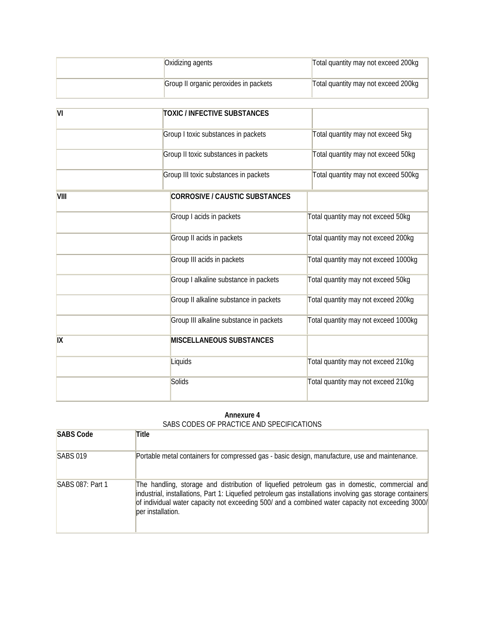| Oxidizing agents                      | Total quantity may not exceed 200kg |
|---------------------------------------|-------------------------------------|
| Group II organic peroxides in packets | Total quantity may not exceed 200kg |

| $\overline{\mathsf{M}}$ | <b>TOXIC / INFECTIVE SUBSTANCES</b>     |                                      |
|-------------------------|-----------------------------------------|--------------------------------------|
|                         | Group I toxic substances in packets     | Total quantity may not exceed 5kg    |
|                         | Group II toxic substances in packets    | Total quantity may not exceed 50kg   |
|                         | Group III toxic substances in packets   | Total quantity may not exceed 500kg  |
| <b>VIII</b>             | CORROSIVE / CAUSTIC SUBSTANCES          |                                      |
|                         | Group I acids in packets                | Total quantity may not exceed 50kg   |
|                         | Group II acids in packets               | Total quantity may not exceed 200kg  |
|                         | Group III acids in packets              | Total quantity may not exceed 1000kg |
|                         | Group I alkaline substance in packets   | Total quantity may not exceed 50kg   |
|                         | Group II alkaline substance in packets  | Total quantity may not exceed 200kg  |
|                         | Group III alkaline substance in packets | Total quantity may not exceed 1000kg |
| IX                      | <b>MISCELLANEOUS SUBSTANCES</b>         |                                      |
|                         | Liquids                                 | Total quantity may not exceed 210kg  |
|                         | Solids                                  | Total quantity may not exceed 210kg  |

#### **Annexure 4** SABS CODES OF PRACTICE AND SPECIFICATIONS

| <b>SABS Code</b> | Title                                                                                                                                                                                                                                                                                                                                |
|------------------|--------------------------------------------------------------------------------------------------------------------------------------------------------------------------------------------------------------------------------------------------------------------------------------------------------------------------------------|
| <b>SABS 019</b>  | Portable metal containers for compressed gas - basic design, manufacture, use and maintenance.                                                                                                                                                                                                                                       |
| SABS 087: Part 1 | The handling, storage and distribution of liquefied petroleum gas in domestic, commercial and<br>industrial, installations, Part 1: Liquefied petroleum gas installations involving gas storage containers<br>of individual water capacity not exceeding 500/ and a combined water capacity not exceeding 3000/<br>ber installation. |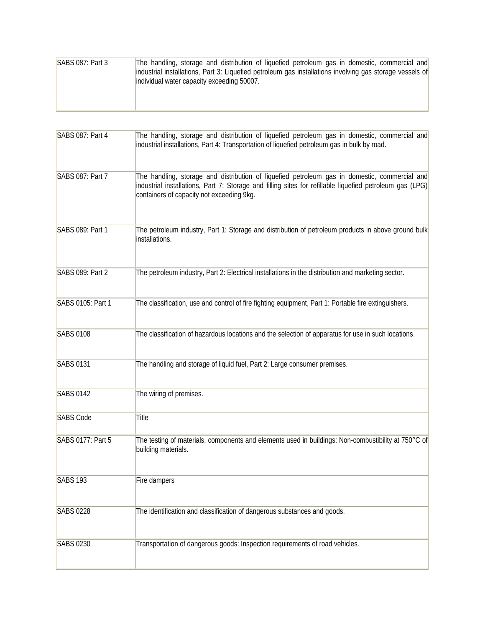| <b>SABS 087: Part 3</b> | The handling, storage and distribution of liquefied petroleum gas in domestic, commercial and            |
|-------------------------|----------------------------------------------------------------------------------------------------------|
|                         | industrial installations, Part 3: Liquefied petroleum gas installations involving gas storage vessels of |
|                         | individual water capacity exceeding 50007.                                                               |
|                         |                                                                                                          |
|                         |                                                                                                          |
|                         |                                                                                                          |

| SABS 087: Part 4  | The handling, storage and distribution of liquefied petroleum gas in domestic, commercial and<br>industrial installations, Part 4: Transportation of liquefied petroleum gas in bulk by road.                                                          |
|-------------------|--------------------------------------------------------------------------------------------------------------------------------------------------------------------------------------------------------------------------------------------------------|
| SABS 087: Part 7  | The handling, storage and distribution of liquefied petroleum gas in domestic, commercial and<br>industrial installations, Part 7: Storage and filling sites for refillable liquefied petroleum gas (LPG)<br>containers of capacity not exceeding 9kg. |
| SABS 089: Part 1  | The petroleum industry, Part 1: Storage and distribution of petroleum products in above ground bulk<br>installations.                                                                                                                                  |
| SABS 089: Part 2  | The petroleum industry, Part 2: Electrical installations in the distribution and marketing sector.                                                                                                                                                     |
| SABS 0105: Part 1 | The classification, use and control of fire fighting equipment, Part 1: Portable fire extinguishers.                                                                                                                                                   |
| <b>SABS 0108</b>  | The classification of hazardous locations and the selection of apparatus for use in such locations.                                                                                                                                                    |
| <b>SABS 0131</b>  | The handling and storage of liquid fuel, Part 2: Large consumer premises.                                                                                                                                                                              |
| <b>SABS 0142</b>  | The wiring of premises.                                                                                                                                                                                                                                |
| <b>SABS Code</b>  | Title                                                                                                                                                                                                                                                  |
| SABS 0177: Part 5 | The testing of materials, components and elements used in buildings: Non-combustibility at 750°C of<br>building materials.                                                                                                                             |
| <b>SABS 193</b>   | Fire dampers                                                                                                                                                                                                                                           |
| <b>SABS 0228</b>  | The identification and classification of dangerous substances and goods.                                                                                                                                                                               |
| <b>SABS 0230</b>  | Transportation of dangerous goods: Inspection requirements of road vehicles.                                                                                                                                                                           |